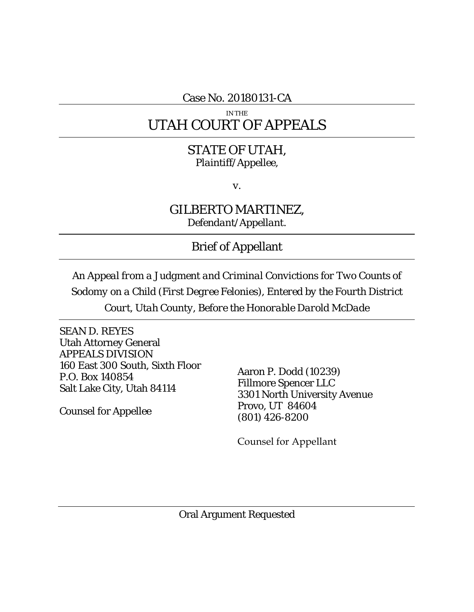Case No. 20180131-CA

# IN THE UTAH COURT OF APPEALS

# STATE OF UTAH, *Plaintiff/Appellee,*

*v.*

GILBERTO MARTINEZ, *Defendant/Appellant.*

Brief of Appellant

*An Appeal from a Judgment and Criminal Convictions for Two Counts of Sodomy on a Child (First Degree Felonies), Entered by the Fourth District Court, Utah County, Before the Honorable Darold McDade*

SEAN D. REYES Utah Attorney General APPEALS DIVISION 160 East 300 South, Sixth Floor P.O. Box 140854 Salt Lake City, Utah 84114

Counsel for Appellee

Aaron P. Dodd (10239) Fillmore Spencer LLC 3301 North University Avenue Provo, UT 84604 (801) 426-8200

Counsel for Appellant

Oral Argument Requested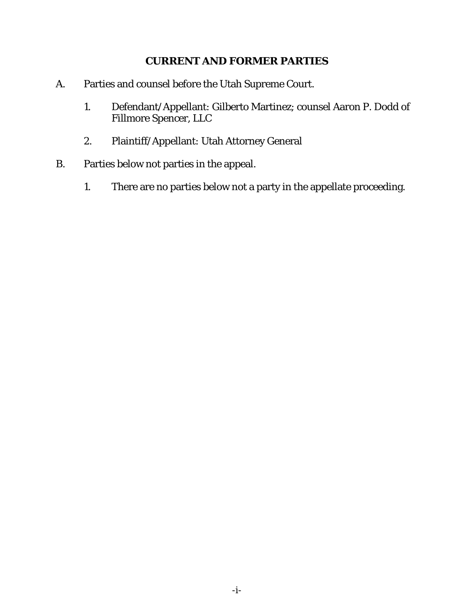## **CURRENT AND FORMER PARTIES**

- <span id="page-2-0"></span>A. Parties and counsel before the Utah Supreme Court.
	- 1. Defendant/Appellant: Gilberto Martinez; counsel Aaron P. Dodd of Fillmore Spencer, LLC
	- 2. Plaintiff/Appellant: Utah Attorney General
- B. Parties below not parties in the appeal.
	- 1. There are no parties below not a party in the appellate proceeding.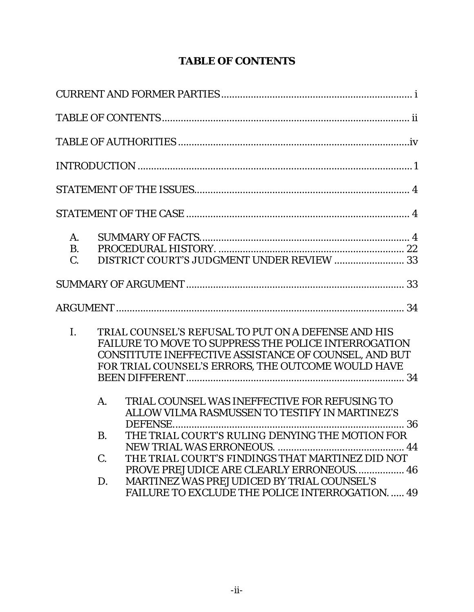# **TABLE OF CONTENTS**

<span id="page-3-0"></span>

| A.<br>B.<br>$\mathcal{C}$ . |          |                                            |                                                                                                                                                                                                                                   |
|-----------------------------|----------|--------------------------------------------|-----------------------------------------------------------------------------------------------------------------------------------------------------------------------------------------------------------------------------------|
|                             |          |                                            |                                                                                                                                                                                                                                   |
|                             |          |                                            |                                                                                                                                                                                                                                   |
| $\mathbf{L}$                |          |                                            | <b>TRIAL COUNSEL'S REFUSAL TO PUT ON A DEFENSE AND HIS</b><br>FAILURE TO MOVE TO SUPPRESS THE POLICE INTERROGATION<br>CONSTITUTE INEFFECTIVE ASSISTANCE OF COUNSEL, AND BUT<br>FOR TRIAL COUNSEL'S ERRORS, THE OUTCOME WOULD HAVE |
|                             | $A_{1}$  |                                            | TRIAL COUNSEL WAS INEFFECTIVE FOR REFUSING TO<br>ALLOW VILMA RASMUSSEN TO TESTIFY IN MARTINEZ'S                                                                                                                                   |
|                             | Β.       |                                            | THE TRIAL COURT'S RULING DENYING THE MOTION FOR                                                                                                                                                                                   |
|                             | C.<br>D. | MARTINEZ WAS PREJUDICED BY TRIAL COUNSEL'S | THE TRIAL COURT'S FINDINGS THAT MARTINEZ DID NOT<br>PROVE PREJUDICE ARE CLEARLY ERRONEOUS 46<br>FAILURE TO EXCLUDE THE POLICE INTERROGATION.  49                                                                                  |
|                             |          |                                            |                                                                                                                                                                                                                                   |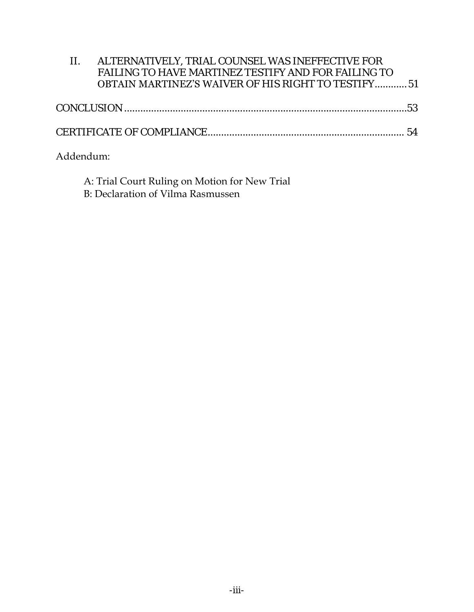| ALTERNATIVELY, TRIAL COUNSEL WAS INEFFECTIVE FOR            |
|-------------------------------------------------------------|
| FAILING TO HAVE MARTINEZ TESTIFY AND FOR FAILING TO         |
| <b>OBTAIN MARTINEZ'S WA</b> IVER OF HIS RIGHT TO TESTIFY 51 |

# Addendum:

| A: Trial Court Ruling on Motion for New Trial |  |
|-----------------------------------------------|--|
| B: Declaration of Vilma Rasmussen             |  |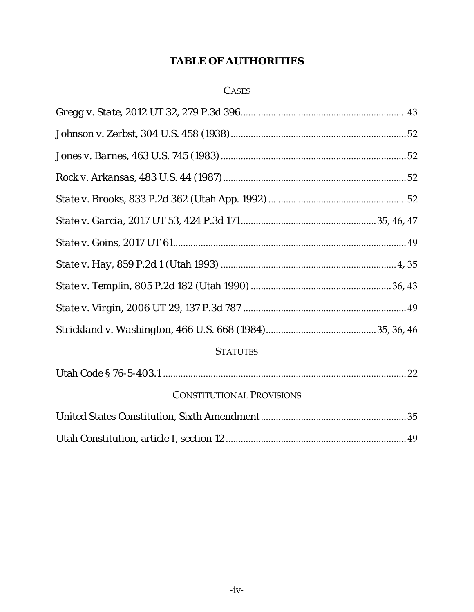## **TABLE OF AUTHORITIES**

## **CASES**

<span id="page-5-0"></span>

| <b>STATUTES</b>                  |  |
|----------------------------------|--|
|                                  |  |
| <b>CONSTITUTIONAL PROVISIONS</b> |  |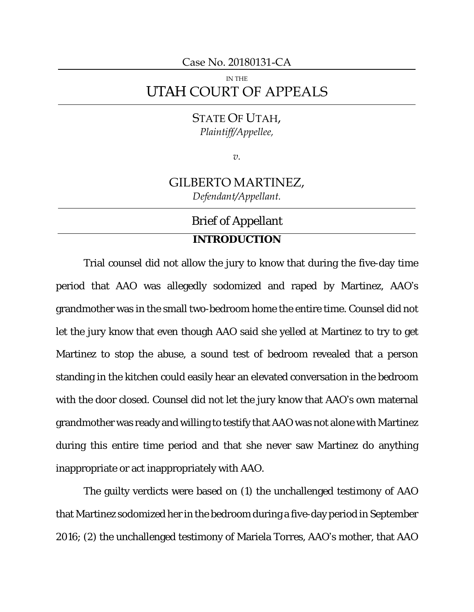Case No. 20180131-CA

# IN THE UTAH COURT OF APPEALS

## STATE OF UTAH, *Plaintiff/Appellee,*

*v.*

# GILBERTO MARTINEZ, *Defendant/Appellant.*

## Brief of Appellant

## **INTRODUCTION**

<span id="page-6-0"></span>Trial counsel did not allow the jury to know that during the five-day time period that AAO was allegedly sodomized and raped by Martinez, AAO's grandmother was in the small two-bedroom home the entire time. Counsel did not let the jury know that even though AAO said she yelled at Martinez to try to get Martinez to stop the abuse, a sound test of bedroom revealed that a person standing in the kitchen could easily hear an elevated conversation in the bedroom with the door closed. Counsel did not let the jury know that AAO's own maternal grandmother was ready and willing to testify that AAO was not alone with Martinez during this entire time period and that she never saw Martinez do anything inappropriate or act inappropriately with AAO.

The guilty verdicts were based on (1) the unchallenged testimony of AAO that Martinez sodomized her in the bedroom during a five-day period in September 2016; (2) the unchallenged testimony of Mariela Torres, AAO's mother, that AAO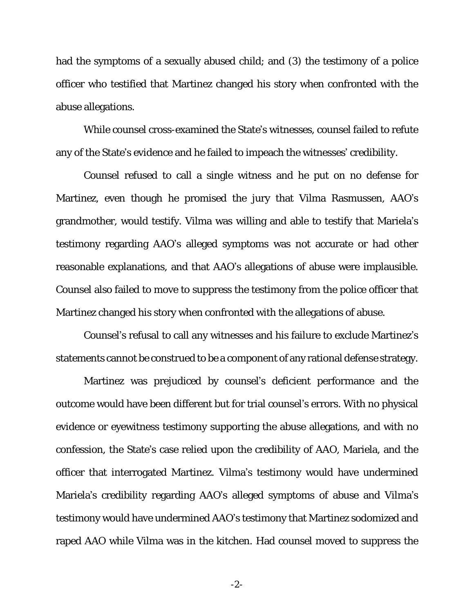had the symptoms of a sexually abused child; and (3) the testimony of a police officer who testified that Martinez changed his story when confronted with the abuse allegations.

While counsel cross-examined the State's witnesses, counsel failed to refute any of the State's evidence and he failed to impeach the witnesses' credibility.

Counsel refused to call a single witness and he put on no defense for Martinez, even though he promised the jury that Vilma Rasmussen, AAO's grandmother, would testify. Vilma was willing and able to testify that Mariela's testimony regarding AAO's alleged symptoms was not accurate or had other reasonable explanations, and that AAO's allegations of abuse were implausible. Counsel also failed to move to suppress the testimony from the police officer that Martinez changed his story when confronted with the allegations of abuse.

Counsel's refusal to call any witnesses and his failure to exclude Martinez's statements cannot be construed to be a component of any rational defense strategy.

Martinez was prejudiced by counsel's deficient performance and the outcome would have been different but for trial counsel's errors. With no physical evidence or eyewitness testimony supporting the abuse allegations, and with no confession, the State's case relied upon the credibility of AAO, Mariela, and the officer that interrogated Martinez. Vilma's testimony would have undermined Mariela's credibility regarding AAO's alleged symptoms of abuse and Vilma's testimony would have undermined AAO's testimony that Martinez sodomized and raped AAO while Vilma was in the kitchen. Had counsel moved to suppress the

-2-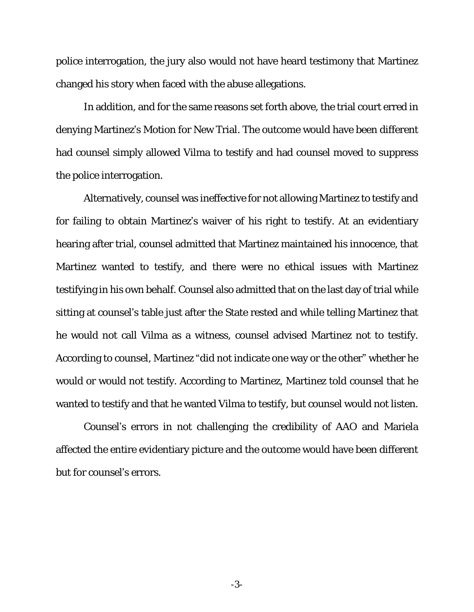police interrogation, the jury also would not have heard testimony that Martinez changed his story when faced with the abuse allegations.

In addition, and for the same reasons set forth above, the trial court erred in denying Martinez's Motion for New Trial. The outcome would have been different had counsel simply allowed Vilma to testify and had counsel moved to suppress the police interrogation.

Alternatively, counsel was ineffective for not allowing Martinez to testify and for failing to obtain Martinez's waiver of his right to testify. At an evidentiary hearing after trial, counsel admitted that Martinez maintained his innocence, that Martinez wanted to testify, and there were no ethical issues with Martinez testifying in his own behalf. Counsel also admitted that on the last day of trial while sitting at counsel's table just after the State rested and while telling Martinez that he would not call Vilma as a witness, counsel advised Martinez not to testify. According to counsel, Martinez "did not indicate one way or the other" whether he would or would not testify. According to Martinez, Martinez told counsel that he wanted to testify and that he wanted Vilma to testify, but counsel would not listen.

Counsel's errors in not challenging the credibility of AAO and Mariela affected the entire evidentiary picture and the outcome would have been different but for counsel's errors.

-3-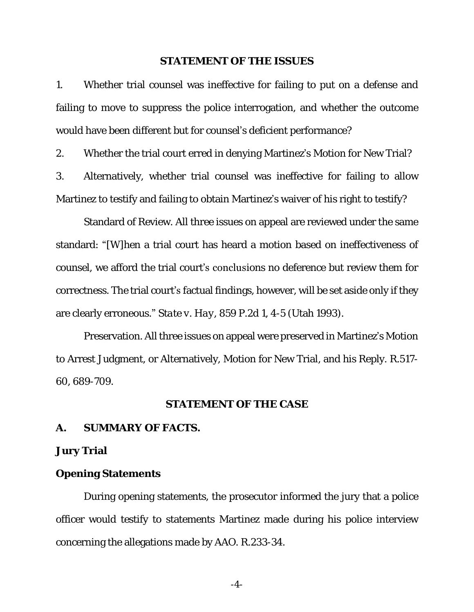#### **STATEMENT OF THE ISSUES**

<span id="page-9-0"></span>1. Whether trial counsel was ineffective for failing to put on a defense and failing to move to suppress the police interrogation, and whether the outcome would have been different but for counsel's deficient performance?

2. Whether the trial court erred in denying Martinez's Motion for New Trial?

3. Alternatively, whether trial counsel was ineffective for failing to allow Martinez to testify and failing to obtain Martinez's waiver of his right to testify?

Standard of Review. All three issues on appeal are reviewed under the same standard: "[W]hen a trial court has heard a motion based on ineffectiveness of counsel, we afford the trial court's conclusions no deference but review them for correctness. The trial court's factual findings, however, will be set aside only if they are clearly erroneous." *State v. Hay*, 859 P.2d 1, 4-5 (Utah 1993).

Preservation. All three issues on appeal were preserved in Martinez's Motion to Arrest Judgment, or Alternatively, Motion for New Trial, and his Reply. R.517- 60, 689-709.

## **STATEMENT OF THE CASE**

<span id="page-9-2"></span><span id="page-9-1"></span>**A. SUMMARY OF FACTS.**

**Jury Trial**

**Opening Statements**

During opening statements, the prosecutor informed the jury that a police officer would testify to statements Martinez made during his police interview concerning the allegations made by AAO. R.233-34.

-4-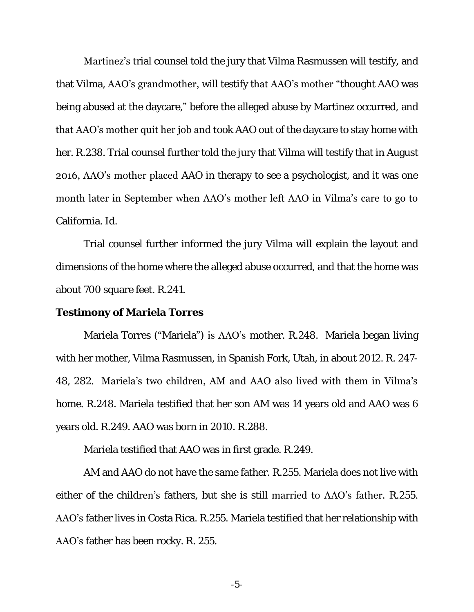Martinez's trial counsel told the jury that Vilma Rasmussen will testify, and that Vilma, AAO's grandmother, will testify that AAO's mother "thought AAO was being abused at the daycare," before the alleged abuse by Martinez occurred, and that AAO's mother quit her job and took AAO out of the daycare to stay home with her. R.238. Trial counsel further told the jury that Vilma will testify that in August 2016, AAO's mother placed AAO in therapy to see a psychologist, and it was one month later in September when AAO's mother left AAO in Vilma's care to go to California. *Id*.

Trial counsel further informed the jury Vilma will explain the layout and dimensions of the home where the alleged abuse occurred, and that the home was about 700 square feet. R.241.

#### **Testimony of Mariela Torres**

Mariela Torres ("Mariela") is **AAO's** mother. R.248. Mariela began living with her mother, Vilma Rasmussen, in Spanish Fork, Utah, in about 2012. R. 247- 48, 282. Mariela's two children, AM and AAO also lived with them in Vilma's home. R.248. Mariela testified that her son AM was 14 years old and AAO was 6 years old. R.249. AAO was born in 2010. R.288.

Mariela testified that AAO was in first grade. R.249.

AM and AAO do not have the same father. R.255. Mariela does not live with either of the children's fathers, but she is still married to AAO's father. R.255. AAO's father lives in Costa Rica. R.255. Mariela testified that her relationship with AAO's father has been rocky. R. 255.

-5-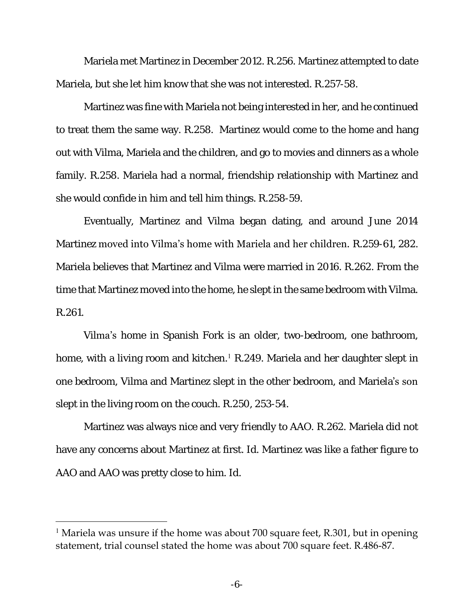Mariela met Martinez in December 2012. R.256. Martinez attempted to date Mariela, but she let him know that she was not interested. R.257-58.

Martinez was fine with Mariela not being interested in her, and he continued to treat them the same way. R.258. Martinez would come to the home and hang out with Vilma, Mariela and the children, and go to movies and dinners as a whole family. R.258. Mariela had a normal, friendship relationship with Martinez and she would confide in him and tell him things. R.258-59.

Eventually, Martinez and Vilma began dating, and around June 2014 Martinez moved into Vilma's home with Mariela and her children. R.259-61, 282. Mariela believes that Martinez and Vilma were married in 2016. R.262. From the time that Martinez moved into the home, he slept in the same bedroom with Vilma. R.261.

Vilma's home in Spanish Fork is an older, two-bedroom, one bathroom, home, with a living room and kitchen.<sup>1</sup> R.249. Mariela and her daughter slept in one bedroom, Vilma and Martinez slept in the other bedroom, and Mariela's son slept in the living room on the couch. R.250, 253-54.

Martinez was always nice and very friendly to AAO. R.262. Mariela did not have any concerns about Martinez at first. *Id*. Martinez was like a father figure to AAO and AAO was pretty close to him. *Id*.

 $\overline{a}$ 

<sup>&</sup>lt;sup>1</sup> Mariela was unsure if the home was about 700 square feet, R.301, but in opening statement, trial counsel stated the home was about 700 square feet. R.486-87.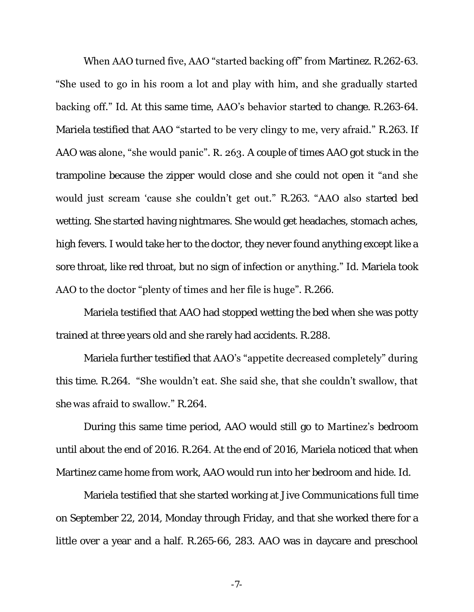When AAO turned five, AAO "started backing off" from Martinez. R.262-63. "She used to go in his room a lot and play with him, and she gradually started backing off." *Id*. At this same time, AAO's behavior started to change. R.263-64. Mariela testified that AAO "started to be very clingy to me, very afraid." R.263. If AAO was alone, "she would panic". R. 263. A couple of times AAO got stuck in the trampoline because the zipper would close and she could not open it "and she would just scream 'cause she couldn't get out." R.263. "AAO also started bed wetting. She started having nightmares. She would get headaches, stomach aches, high fevers. I would take her to the doctor, they never found anything except like a sore throat, like red throat, but no sign of infection or anything." *Id*. Mariela took AAO to the doctor "plenty of times and her file is huge". R.266.

Mariela testified that AAO had stopped wetting the bed when she was potty trained at three years old and she rarely had accidents. R.288.

Mariela further testified that AAO's "appetite decreased completely" during this time. R.264. "She wouldn't eat. She said she, that she couldn't swallow, that she was afraid to swallow." R.264.

During this same time period, AAO would still go to Martinez's bedroom until about the end of 2016. R.264. At the end of 2016, Mariela noticed that when Martinez came home from work, AAO would run into her bedroom and hide. *Id*.

Mariela testified that she started working at Jive Communications full time on September 22, 2014, Monday through Friday, and that she worked there for a little over a year and a half. R.265-66, 283. AAO was in daycare and preschool

-7-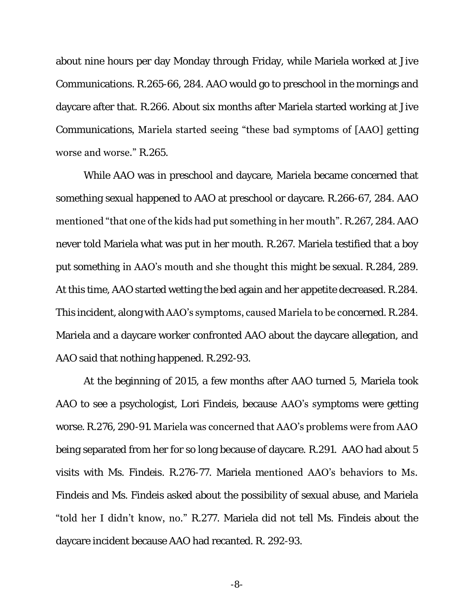about nine hours per day Monday through Friday, while Mariela worked at Jive Communications. R.265-66, 284. AAO would go to preschool in the mornings and daycare after that. R.266. About six months after Mariela started working at Jive Communications, Mariela started seeing "these bad symptoms of [AAO] getting worse and worse." R.265.

While AAO was in preschool and daycare, Mariela became concerned that something sexual happened to AAO at preschool or daycare. R.266-67, 284. AAO mentioned "that one of the kids had put something in her mouth". R.267, 284. AAO never told Mariela what was put in her mouth. R.267. Mariela testified that a boy put something in AAO's mouth and she thought this might be sexual. R.284, 289. At this time, AAO started wetting the bed again and her appetite decreased. R.284. This incident, along with AAO's symptoms, caused Mariela to be concerned. R.284. Mariela and a daycare worker confronted AAO about the daycare allegation, and AAO said that nothing happened. R.292-93.

At the beginning of 2015, a few months after AAO turned 5, Mariela took AAO to see a psychologist, Lori Findeis, because **AAO's s**ymptoms were getting worse. R.276, 290-91. Mariela was concerned that AAO's problems were from AAO being separated from her for so long because of daycare. R.291. AAO had about 5 visits with Ms. Findeis. R.276-77. Mariela mentioned AAO's behaviors to Ms. Findeis and Ms. Findeis asked about the possibility of sexual abuse, and Mariela "told her I didn't know, no." R.277. Mariela did not tell Ms. Findeis about the daycare incident because AAO had recanted. R. 292-93.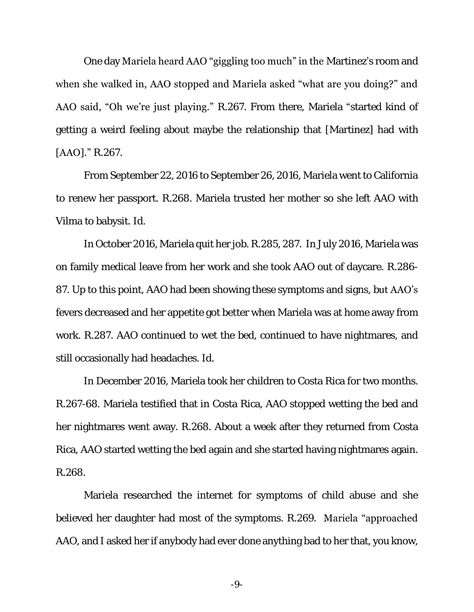One day Mariela heard AAO "giggling too much" in the Martinez's room and when she walked in, AAO stopped and Mariela asked "what are you doing?" and AAO said, "Oh we're just playing." R.267. From there, Mariela "started kind of getting a weird feeling about maybe the relationship that [Martinez] had with [AAO]." R.267.

From September 22, 2016 to September 26, 2016, Mariela went to California to renew her passport. R.268. Mariela trusted her mother so she left AAO with Vilma to babysit. *Id*.

In October 2016, Mariela quit her job. R.285, 287. In July 2016, Mariela was on family medical leave from her work and she took AAO out of daycare. R.286- 87. Up to this point, AAO had been showing these symptoms and signs, but AAO's fevers decreased and her appetite got better when Mariela was at home away from work. R.287. AAO continued to wet the bed, continued to have nightmares, and still occasionally had headaches. *Id*.

In December 2016, Mariela took her children to Costa Rica for two months. R.267-68. Mariela testified that in Costa Rica, AAO stopped wetting the bed and her nightmares went away. R.268. About a week after they returned from Costa Rica, AAO started wetting the bed again and she started having nightmares again. R.268.

Mariela researched the internet for symptoms of child abuse and she believed her daughter had most of the symptoms. R.269. Mariela "approached AAO, and I asked her if anybody had ever done anything bad to her that, you know,

-9-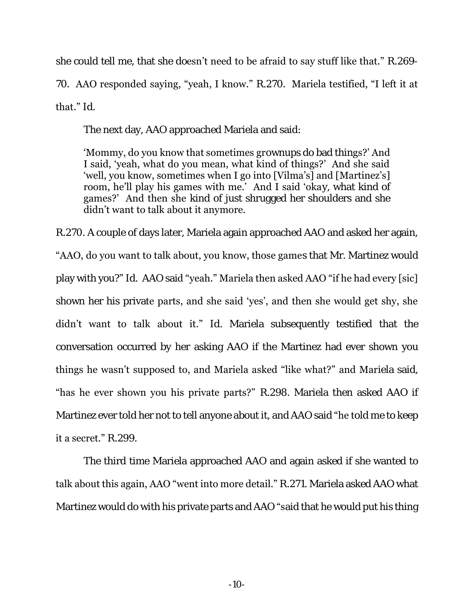she could tell me, that she doesn't need to be afraid to say stuff like that." R.269-

70. AAO responded saying, "yeah, I know." R.270. Mariela testified, "I left it at

that." *Id*.

The next day, AAO approached Mariela and said:

'Mommy, do you know that sometimes grownups do bad things?' And I said, 'yeah, what do you mean, what kind of things?' And she said 'well, you know, sometimes when I go into [Vilma's] and [Martinez's] room, he'll play his games with me.' And I said 'okay, what kind of games?' And then she kind of just shrugged her shoulders and she didn't want to talk about it anymore.

R.270. A couple of days later, Mariela again approached AAO and asked her again,

"AAO, do you want to talk about, you know, those games that Mr. Martinez would play with you?" *Id*. AAO said "yeah." Mariela then asked AAO "if he had every [sic] shown her his private parts, and she said 'yes', and then she would get shy, she didn't want to talk about it." *Id*. Mariela subsequently testified that the conversation occurred by her asking AAO if the Martinez had ever shown you things he wasn't supposed to, and Mariela asked "like what?" and Mariela said, "has he ever shown you his private parts?" R.298. Mariela then asked AAO if Martinez ever told her not to tell anyone about it, and AAO said "he told me to keep it a secret." R.299.

The third time Mariela approached AAO and again asked if she wanted to talk about this again, AAO "went into more detail." R.271. Mariela asked AAO what Martinez would do with his private parts and AAO "said that he would put his thing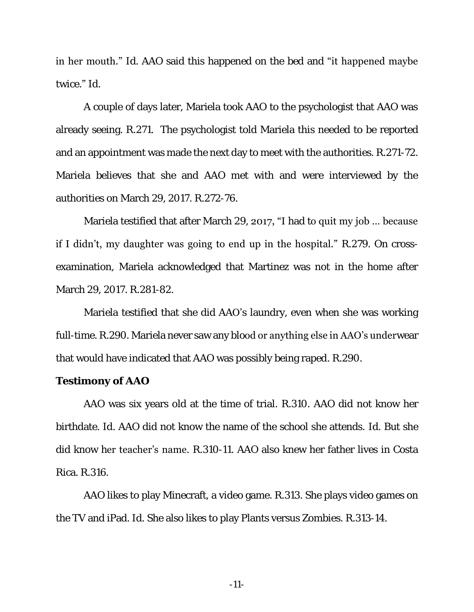in her mouth." *Id*. AAO said this happened on the bed and "it happened maybe twice." *Id*.

A couple of days later, Mariela took AAO to the psychologist that AAO was already seeing. R.271. The psychologist told Mariela this needed to be reported and an appointment was made the next day to meet with the authorities. R.271-72. Mariela believes that she and AAO met with and were interviewed by the authorities on March 29, 2017. R.272-76.

Mariela testified that after March 29, 2017, "I had to quit my job ... because if I didn't, my daughter was going to end up in the hospital." R.279. On crossexamination, Mariela acknowledged that Martinez was not in the home after March 29, 2017. R.281-82.

Mariela testified that she did AAO's laundry, even when she was working full-time. R.290. Mariela never saw any blood or anything else in AAO's underwear that would have indicated that AAO was possibly being raped. R.290.

#### **Testimony of AAO**

AAO was six years old at the time of trial. R.310. AAO did not know her birthdate. *Id*. AAO did not know the name of the school she attends. *Id*. But she did know her teacher's name. R.310-11. AAO also knew her father lives in Costa Rica. R.316.

AAO likes to play Minecraft, a video game. R.313. She plays video games on the TV and iPad. *Id*. She also likes to play Plants versus Zombies. R.313-14.

-11-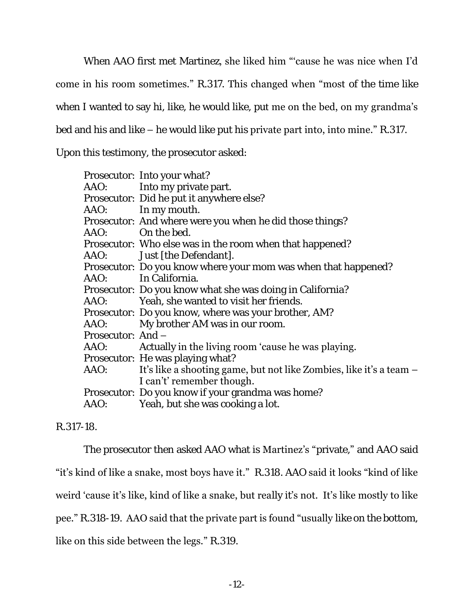When AAO first met Martinez, she liked him "'cause he was nice when I'd

come in his room sometimes." R.317. This changed when "most of the time like

when I wanted to say hi, like, he would like, put me on the bed, on my grandma's

bed and his and like – he would like put his private part into, into mine." R.317.

Upon this testimony, the prosecutor asked:

|                   | Prosecutor: Into your what?                                              |
|-------------------|--------------------------------------------------------------------------|
|                   | AAO: lnto my private part.                                               |
|                   | Prosecutor: Did he put it anywhere else?                                 |
|                   | AAO: In my mouth.                                                        |
|                   | Prosecutor: And where were you when he did those things?                 |
|                   | AAO: On the bed.                                                         |
|                   | Prosecutor: Who else was in the room when that happened?                 |
|                   | AAO: Just [the Defendant].                                               |
|                   | Prosecutor: Do you know where your mom was when that happened?           |
|                   | AAO: In California.                                                      |
|                   | Prosecutor: Do you know what she was doing in California?                |
|                   | AAO: Yeah, she wanted to visit her friends.                              |
|                   | Prosecutor: Do you know, where was your brother, AM?                     |
|                   | AAO: My brother AM was in our room.                                      |
| Prosecutor: And - |                                                                          |
|                   | AAO: Actually in the living room 'cause he was playing.                  |
|                   | Prosecutor: He was playing what?                                         |
|                   | AAO: It's like a shooting game, but not like Zombies, like it's a team – |
|                   | I can't' remember though.                                                |
|                   | Prosecutor: Do you know if your grandma was home?                        |
|                   | AAO: Yeah, but she was cooking a lot.                                    |
|                   |                                                                          |

R.317-18.

The prosecutor then asked AAO what is Martinez's "private," and AAO said

"it's kind of like a snake, most boys have it." R.318. AAO said it looks "kind of like

weird 'cause it's like, kind of like a snake, but really it's not. It's like mostly to like

pee." R.318-19. AAO said that the private part is found "usually like on the bottom,

like on this side between the legs." R.319.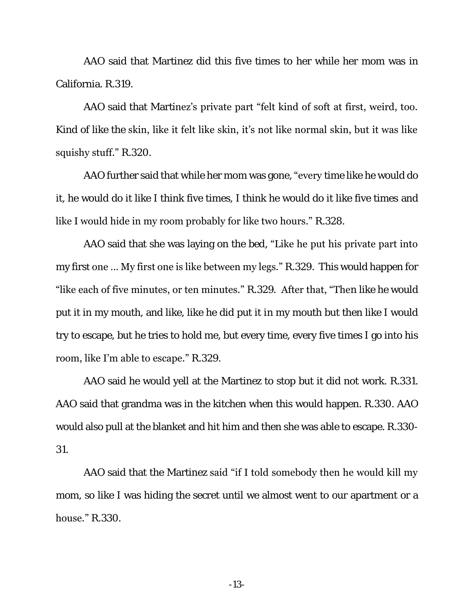AAO said that Martinez did this five times to her while her mom was in California. R.319.

AAO said that Martinez's private part "felt kind of soft at first, weird, too. Kind of like the skin, like it felt like skin, it's not like normal skin, but it was like squishy stuff." R.320.

AAO further said that while her mom was gone, "every time like he would do it, he would do it like I think five times, I think he would do it like five times and like I would hide in my room probably for like two hours." R.328.

AAO said that she was laying on the bed, "Like he put his private part into my first one ... My first one is like between my legs." R.329. This would happen for "like each of five minutes, or ten minutes." R.329. After that, "Then like he would put it in my mouth, and like, like he did put it in my mouth but then like I would try to escape, but he tries to hold me, but every time, every five times I go into his room, like I'm able to escape." R.329.

AAO said he would yell at the Martinez to stop but it did not work. R.331. AAO said that grandma was in the kitchen when this would happen. R.330. AAO would also pull at the blanket and hit him and then she was able to escape. R.330- 31.

AAO said that the Martinez said "if I told somebody then he would kill my mom, so like I was hiding the secret until we almost went to our apartment or a house." R.330.

-13-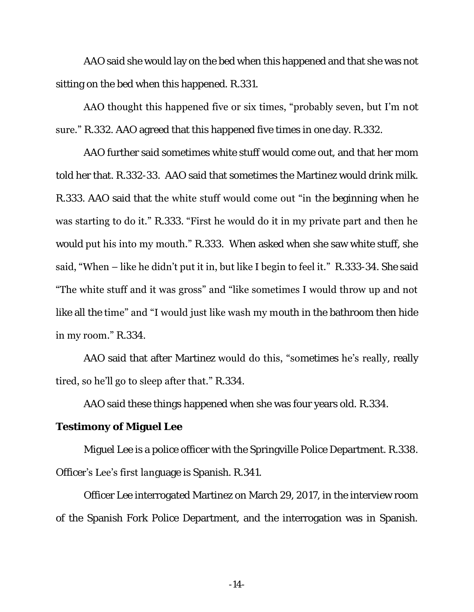AAO said she would lay on the bed when this happened and that she was not sitting on the bed when this happened. R.331.

AAO thought this happened five or six times, "probably seven, but I'm not sure." R.332. AAO agreed that this happened five times in one day. R.332.

AAO further said sometimes white stuff would come out, and that her mom told her that. R.332-33. AAO said that sometimes the Martinez would drink milk. R.333. AAO said that the white stuff would come out "in the beginning when he was starting to do it." R.333. "First he would do it in my private part and then he would put his into my mouth." R.333. When asked when she saw white stuff, she said, "When – like he didn't put it in, but like I begin to feel it." R.333-34. She said "The white stuff and it was gross" and "like sometimes I would throw up and not like all the time" and "I would just like wash my mouth in the bathroom then hide in my room." R.334.

AAO said that after Martinez would do this, "sometimes he's really, really tired, so he'll go to sleep after that." R.334.

AAO said these things happened when she was four years old. R.334.

**Testimony of Miguel Lee**

Miguel Lee is a police officer with the Springville Police Department. R.338. Officer's Lee's first language is Spanish. R.341.

Officer Lee interrogated Martinez on March 29, 2017, in the interview room of the Spanish Fork Police Department, and the interrogation was in Spanish.

-14-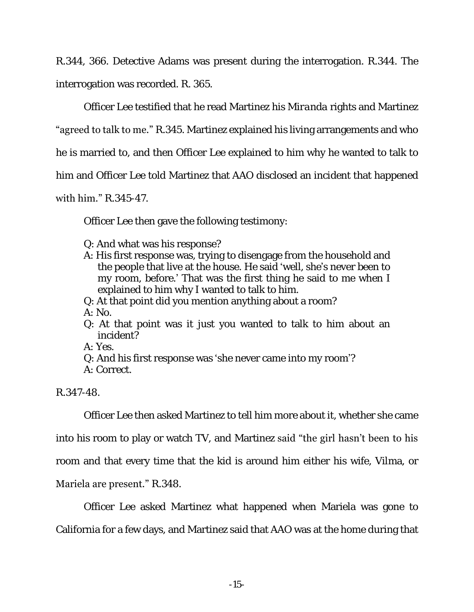R.344, 366. Detective Adams was present during the interrogation. R.344. The interrogation was recorded. R. 365.

Officer Lee testified that he read Martinez his *Miranda* rights and Martinez

"agreed to talk to me." R.345. Martinez explained his living arrangements and who

he is married to, and then Officer Lee explained to him why he wanted to talk to

him and Officer Lee told Martinez that AAO disclosed an incident that happened

## with him." R.345-47.

Officer Lee then gave the following testimony:

- Q: And what was his response?
- A: His first response was, trying to disengage from the household and the people that live at the house. He said 'well, she's never been to my room, before.' That was the first thing he said to me when I explained to him why I wanted to talk to him.
- Q: At that point did you mention anything about a room?
- A: No.
- Q: At that point was it just you wanted to talk to him about an incident?

A: Yes.

- Q: And his first response was 'she never came into my room'?
- A: Correct.

R.347-48.

Officer Lee then asked Martinez to tell him more about it, whether she came

into his room to play or watch TV, and Martinez said "the girl hasn't been to his

room and that every time that the kid is around him either his wife, Vilma, or

## Mariela are present." R.348.

Officer Lee asked Martinez what happened when Mariela was gone to

California for a few days, and Martinez said that AAO was at the home during that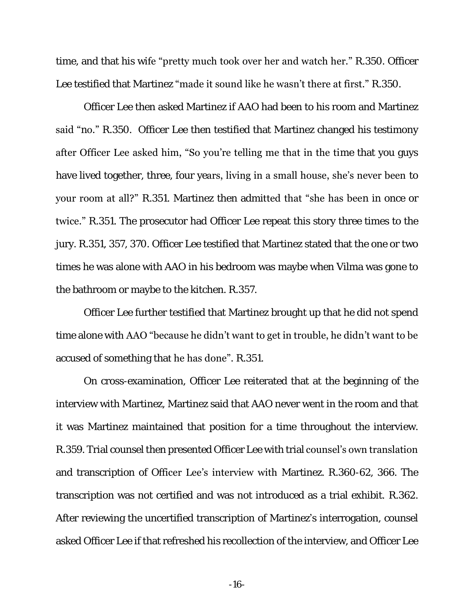time, and that his wife "pretty much took over her and watch her." R.350. Officer Lee testified that Martinez "made it sound like he wasn't there at first." R.350.

Officer Lee then asked Martinez if AAO had been to his room and Martinez said "no." R.350. Officer Lee then testified that Martinez changed his testimony after Officer Lee asked him, "So you're telling me that in the time that you guys have lived together, three, four years, living in a small house, she's never been to your room at all?" R.351. Martinez then admitted that "she has been in once or twice." R.351. The prosecutor had Officer Lee repeat this story three times to the jury. R.351, 357, 370. Officer Lee testified that Martinez stated that the one or two times he was alone with AAO in his bedroom was maybe when Vilma was gone to the bathroom or maybe to the kitchen. R.357.

Officer Lee further testified that Martinez brought up that he did not spend time alone with AAO "because he didn't want to get in trouble, he didn't want to be accused of something that he has done". R.351.

On cross-examination, Officer Lee reiterated that at the beginning of the interview with Martinez, Martinez said that AAO never went in the room and that it was Martinez maintained that position for a time throughout the interview. R.359. Trial counsel then presented Officer Lee with trial counsel's own translation and transcription of Officer Lee's interview with Martinez. R.360-62, 366. The transcription was not certified and was not introduced as a trial exhibit. R.362. After reviewing the uncertified transcription of Martinez's interrogation, counsel asked Officer Lee if that refreshed his recollection of the interview, and Officer Lee

-16-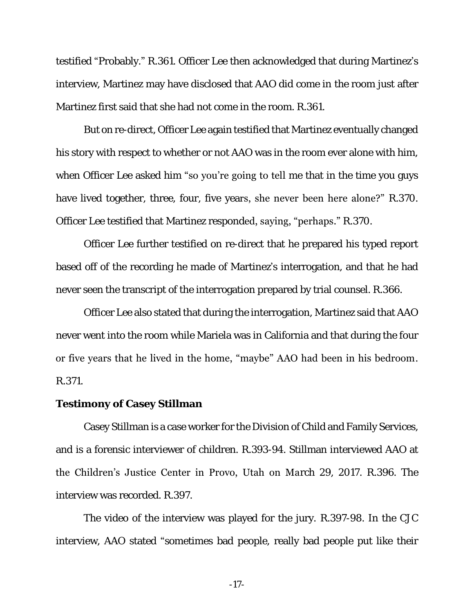testified "Probably." R.361. Officer Lee then acknowledged that during Martinez's interview, Martinez may have disclosed that AAO did come in the room just after Martinez first said that she had not come in the room. R.361.

But on re-direct, Officer Lee again testified that Martinez eventually changed his story with respect to whether or not AAO was in the room ever alone with him, when Officer Lee asked him "so you're going to tell me that in the time you guys have lived together, three, four, five years, she never been here alone?" R.370. Officer Lee testified that Martinez responded, saying, "perhaps." R.370.

Officer Lee further testified on re-direct that he prepared his typed report based off of the recording he made of Martinez's interrogation, and that he had never seen the transcript of the interrogation prepared by trial counsel. R.366.

Officer Lee also stated that during the interrogation, Martinez said that AAO never went into the room while Mariela was in California and that during the four or five years that he lived in the home, "maybe" AAO had been in his bedroom. R.371.

### **Testimony of Casey Stillman**

Casey Stillman is a case worker for the Division of Child and Family Services, and is a forensic interviewer of children. R.393-94. Stillman interviewed AAO at the Children's Justice Center in Provo, Utah on March 29, 2017. R.396. The interview was recorded. R.397.

The video of the interview was played for the jury. R.397-98. In the CJC interview, AAO stated "sometimes bad people, really bad people put like their

-17-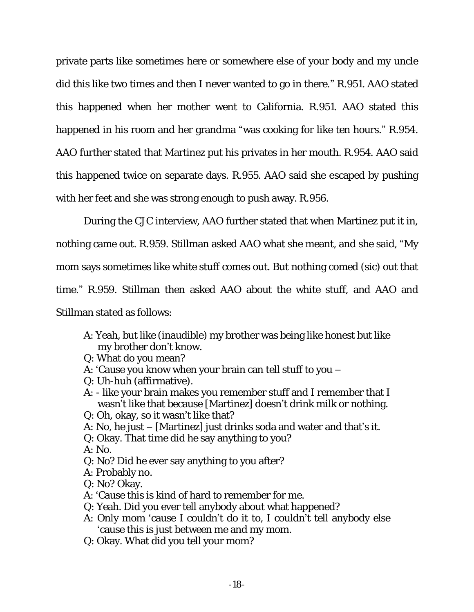private parts like sometimes here or somewhere else of your body and my uncle did this like two times and then I never wanted to go in there." R.951. AAO stated this happened when her mother went to California. R.951. AAO stated this happened in his room and her grandma "was cooking for like ten hours." R.954. AAO further stated that Martinez put his privates in her mouth. R.954. AAO said this happened twice on separate days. R.955. AAO said she escaped by pushing with her feet and she was strong enough to push away. R.956.

During the CJC interview, AAO further stated that when Martinez put it in,

nothing came out. R.959. Stillman asked AAO what she meant, and she said, "My

mom says sometimes like white stuff comes out. But nothing comed (sic) out that

time." R.959. Stillman then asked AAO about the white stuff, and AAO and

Stillman stated as follows:

- A: Yeah, but like (inaudible) my brother was being like honest but like my brother don't know.
- Q: What do you mean?
- A: 'Cause you know when your brain can tell stuff to you –
- Q: Uh-huh (affirmative).
- A: like your brain makes you remember stuff and I remember that I wasn't like that because [Martinez] doesn't drink milk or nothing.
- Q: Oh, okay, so it wasn't like that?
- A: No, he just [Martinez] just drinks soda and water and that's it.
- Q: Okay. That time did he say anything to you?

A: No.

- Q: No? Did he ever say anything to you after?
- A: Probably no.
- Q: No? Okay.
- A: 'Cause this is kind of hard to remember for me.
- Q: Yeah. Did you ever tell anybody about what happened?
- A: Only mom 'cause I couldn't do it to, I couldn't tell anybody else 'cause this is just between me and my mom.
- Q: Okay. What did you tell your mom?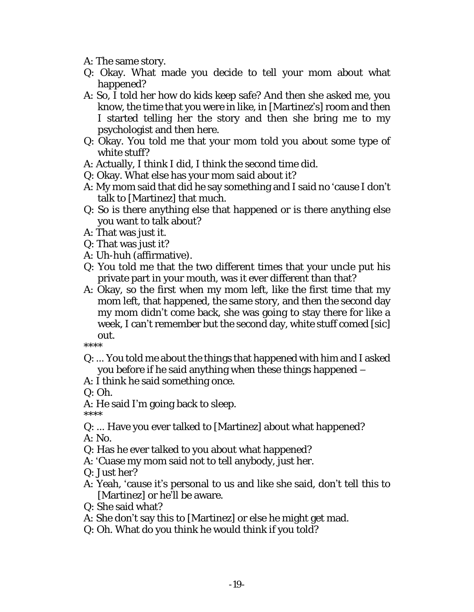- A: The same story.
- Q: Okay. What made you decide to tell your mom about what happened?
- A: So, I told her how do kids keep safe? And then she asked me, you know, the time that you were in like, in [Martinez's] room and then I started telling her the story and then she bring me to my psychologist and then here.
- Q: Okay. You told me that your mom told you about some type of white stuff?
- A: Actually, I think I did, I think the second time did.
- Q: Okay. What else has your mom said about it?
- A: My mom said that did he say something and I said no 'cause I don't talk to [Martinez] that much.
- Q: So is there anything else that happened or is there anything else you want to talk about?
- A: That was just it.
- Q: That was just it?
- A: Uh-huh (affirmative).
- Q: You told me that the two different times that your uncle put his private part in your mouth, was it ever different than that?
- A: Okay, so the first when my mom left, like the first time that my mom left, that happened, the same story, and then the second day my mom didn't come back, she was going to stay there for like a week, I can't remember but the second day, white stuff comed [sic] out.

\*\*\*\*

- Q: … You told me about the things that happened with him and I asked you before if he said anything when these things happened –
- A: I think he said something once.
- $O: Oh$ .
- A: He said I'm going back to sleep.
- \*\*\*\*
- Q: … Have you ever talked to [Martinez] about what happened?
- A: No.
- Q: Has he ever talked to you about what happened?
- A: 'Cuase my mom said not to tell anybody, just her.
- Q: Just her?
- A: Yeah, 'cause it's personal to us and like she said, don't tell this to [Martinez] or he'll be aware.
- Q: She said what?
- A: She don't say this to [Martinez] or else he might get mad.
- Q: Oh. What do you think he would think if you told?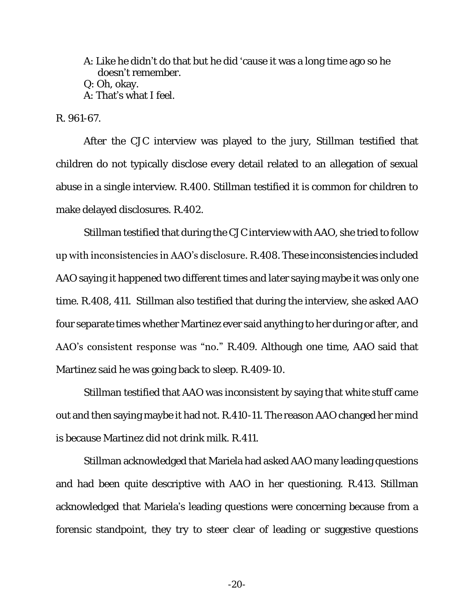A: Like he didn't do that but he did 'cause it was a long time ago so he doesn't remember. Q: Oh, okay. A: That's what I feel.

R. 961-67.

After the CJC interview was played to the jury, Stillman testified that children do not typically disclose every detail related to an allegation of sexual abuse in a single interview. R.400. Stillman testified it is common for children to make delayed disclosures. R.402.

Stillman testified that during the CJC interview with AAO, she tried to follow up with inconsistencies in AAO's disclosure. R.408. These inconsistencies included AAO saying it happened two different times and later saying maybe it was only one time. R.408, 411. Stillman also testified that during the interview, she asked AAO four separate times whether Martinez ever said anything to her during or after, and AAO's consistent response was "no." R.409. Although one time, AAO said that Martinez said he was going back to sleep. R.409-10.

Stillman testified that AAO was inconsistent by saying that white stuff came out and then saying maybe it had not. R.410-11. The reason AAO changed her mind is because Martinez did not drink milk. R.411.

Stillman acknowledged that Mariela had asked AAO many leading questions and had been quite descriptive with AAO in her questioning. R.413. Stillman acknowledged that Mariela's leading questions were concerning because from a forensic standpoint, they try to steer clear of leading or suggestive questions

 $-20-$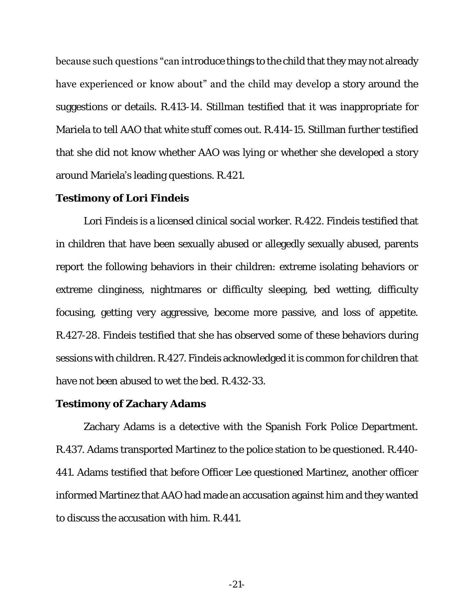because such questions "can introduce things to the child that they may not already have experienced or know about" and the child may develop a story around the suggestions or details. R.413-14. Stillman testified that it was inappropriate for Mariela to tell AAO that white stuff comes out. R.414-15. Stillman further testified that she did not know whether AAO was lying or whether she developed a story around Mariela's leading questions. R.421.

### **Testimony of Lori Findeis**

Lori Findeis is a licensed clinical social worker. R.422. Findeis testified that in children that have been sexually abused or allegedly sexually abused, parents report the following behaviors in their children: extreme isolating behaviors or extreme clinginess, nightmares or difficulty sleeping, bed wetting, difficulty focusing, getting very aggressive, become more passive, and loss of appetite. R.427-28. Findeis testified that she has observed some of these behaviors during sessions with children. R.427. Findeis acknowledged it is common for children that have not been abused to wet the bed. R.432-33.

#### **Testimony of Zachary Adams**

Zachary Adams is a detective with the Spanish Fork Police Department. R.437. Adams transported Martinez to the police station to be questioned. R.440- 441. Adams testified that before Officer Lee questioned Martinez, another officer informed Martinez that AAO had made an accusation against him and they wanted to discuss the accusation with him. R.441.

-21-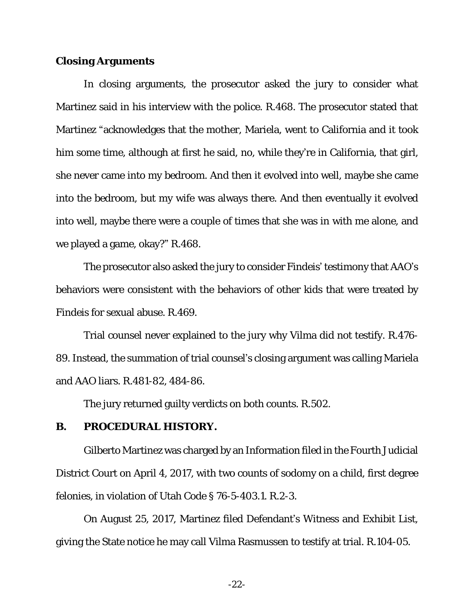#### **Closing Arguments**

In closing arguments, the prosecutor asked the jury to consider what Martinez said in his interview with the police. R.468. The prosecutor stated that Martinez "acknowledges that the mother, Mariela, went to California and it took him some time, although at first he said, no, while they're in California, that girl, she never came into my bedroom. And then it evolved into well, maybe she came into the bedroom, but my wife was always there. And then eventually it evolved into well, maybe there were a couple of times that she was in with me alone, and we played a game, okay?" R.468.

The prosecutor also asked the jury to consider Findeis' testimony that AAO's behaviors were consistent with the behaviors of other kids that were treated by Findeis for sexual abuse. R.469.

Trial counsel never explained to the jury why Vilma did not testify. R.476- 89. Instead, the summation of trial counsel's closing argument was calling Mariela and AAO liars. R.481-82, 484-86.

The jury returned guilty verdicts on both counts. R.502.

<span id="page-27-0"></span>**B. PROCEDURAL HISTORY.**

Gilberto Martinez was charged by an Information filed in the Fourth Judicial District Court on April 4, 2017, with two counts of sodomy on a child, first degree felonies, in violation of Utah Code § 76-5-403.1. R.2-3.

On August 25, 2017, Martinez filed Defendant's Witness and Exhibit List, giving the State notice he may call Vilma Rasmussen to testify at trial. R.104-05.

-22-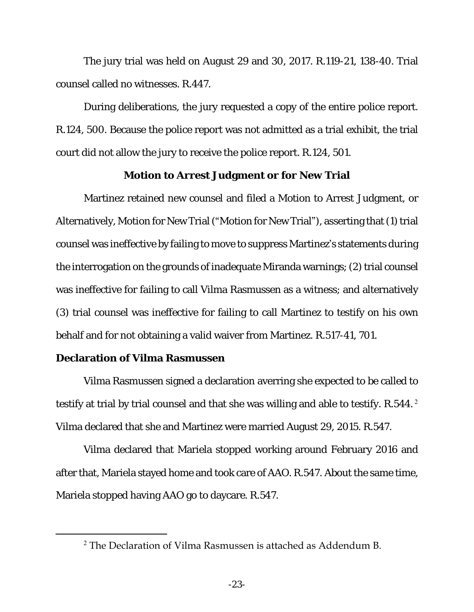The jury trial was held on August 29 and 30, 2017. R.119-21, 138-40. Trial counsel called no witnesses. R.447.

During deliberations, the jury requested a copy of the entire police report. R.124, 500. Because the police report was not admitted as a trial exhibit, the trial court did not allow the jury to receive the police report. R.124, 501.

### **Motion to Arrest Judgment or for New Trial**

Martinez retained new counsel and filed a Motion to Arrest Judgment, or Alternatively, Motion for New Trial ("Motion for New Trial"), asserting that (1) trial counsel was ineffective by failing to move to suppress Martinez's statements during the interrogation on the grounds of inadequate Miranda warnings; (2) trial counsel was ineffective for failing to call Vilma Rasmussen as a witness; and alternatively (3) trial counsel was ineffective for failing to call Martinez to testify on his own behalf and for not obtaining a valid waiver from Martinez. R.517-41, 701.

## **Declaration of Vilma Rasmussen**

 $\overline{a}$ 

Vilma Rasmussen signed a declaration averring she expected to be called to testify at trial by trial counsel and that she was willing and able to testify. R.544.<sup>2</sup> Vilma declared that she and Martinez were married August 29, 2015. R.547.

Vilma declared that Mariela stopped working around February 2016 and after that, Mariela stayed home and took care of AAO. R.547. About the same time, Mariela stopped having AAO go to daycare. R.547.

 $2$  The Declaration of Vilma Rasmussen is attached as Addendum B.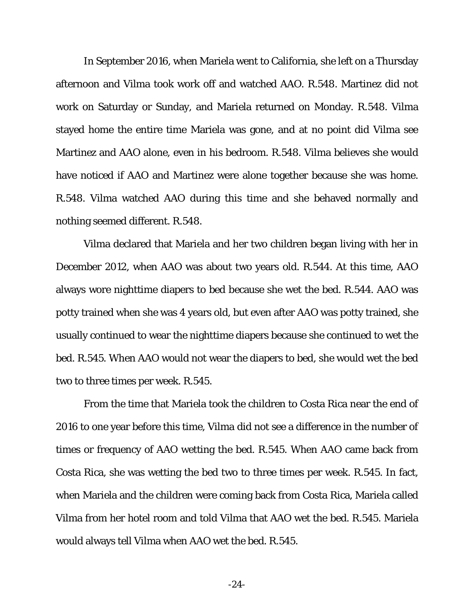In September 2016, when Mariela went to California, she left on a Thursday afternoon and Vilma took work off and watched AAO. R.548. Martinez did not work on Saturday or Sunday, and Mariela returned on Monday. R.548. Vilma stayed home the entire time Mariela was gone, and at no point did Vilma see Martinez and AAO alone, even in his bedroom. R.548. Vilma believes she would have noticed if AAO and Martinez were alone together because she was home. R.548. Vilma watched AAO during this time and she behaved normally and nothing seemed different. R.548.

Vilma declared that Mariela and her two children began living with her in December 2012, when AAO was about two years old. R.544. At this time, AAO always wore nighttime diapers to bed because she wet the bed. R.544. AAO was potty trained when she was 4 years old, but even after AAO was potty trained, she usually continued to wear the nighttime diapers because she continued to wet the bed. R.545. When AAO would not wear the diapers to bed, she would wet the bed two to three times per week. R.545.

From the time that Mariela took the children to Costa Rica near the end of 2016 to one year before this time, Vilma did not see a difference in the number of times or frequency of AAO wetting the bed. R.545. When AAO came back from Costa Rica, she was wetting the bed two to three times per week. R.545. In fact, when Mariela and the children were coming back from Costa Rica, Mariela called Vilma from her hotel room and told Vilma that AAO wet the bed. R.545. Mariela would always tell Vilma when AAO wet the bed. R.545.

-24-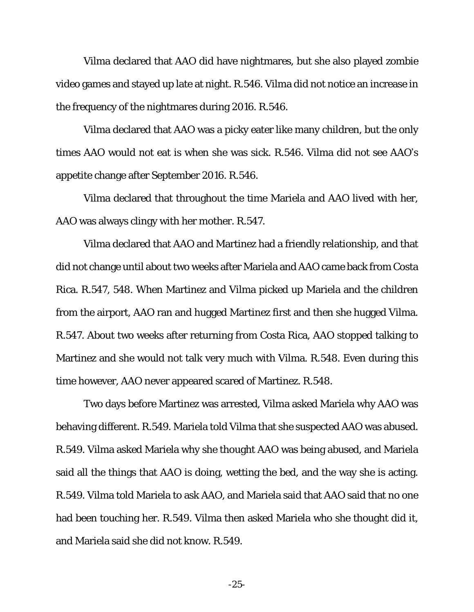Vilma declared that AAO did have nightmares, but she also played zombie video games and stayed up late at night. R.546. Vilma did not notice an increase in the frequency of the nightmares during 2016. R.546.

Vilma declared that AAO was a picky eater like many children, but the only times AAO would not eat is when she was sick. R.546. Vilma did not see AAO's appetite change after September 2016. R.546.

Vilma declared that throughout the time Mariela and AAO lived with her, AAO was always clingy with her mother. R.547.

Vilma declared that AAO and Martinez had a friendly relationship, and that did not change until about two weeks after Mariela and AAO came back from Costa Rica. R.547, 548. When Martinez and Vilma picked up Mariela and the children from the airport, AAO ran and hugged Martinez first and then she hugged Vilma. R.547. About two weeks after returning from Costa Rica, AAO stopped talking to Martinez and she would not talk very much with Vilma. R.548. Even during this time however, AAO never appeared scared of Martinez. R.548.

Two days before Martinez was arrested, Vilma asked Mariela why AAO was behaving different. R.549. Mariela told Vilma that she suspected AAO was abused. R.549. Vilma asked Mariela why she thought AAO was being abused, and Mariela said all the things that AAO is doing, wetting the bed, and the way she is acting. R.549. Vilma told Mariela to ask AAO, and Mariela said that AAO said that no one had been touching her. R.549. Vilma then asked Mariela who she thought did it, and Mariela said she did not know. R.549.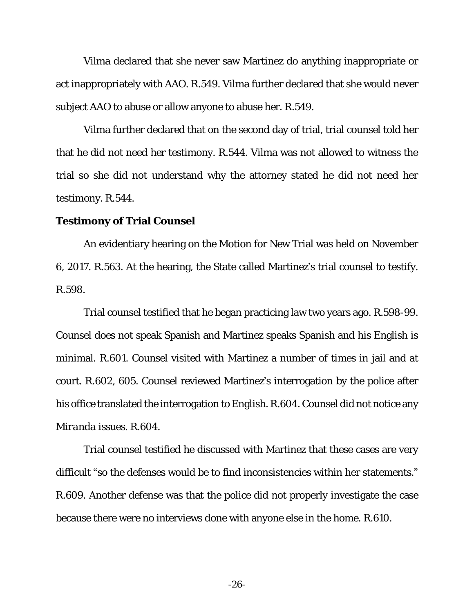Vilma declared that she never saw Martinez do anything inappropriate or act inappropriately with AAO. R.549. Vilma further declared that she would never subject AAO to abuse or allow anyone to abuse her. R.549.

Vilma further declared that on the second day of trial, trial counsel told her that he did not need her testimony. R.544. Vilma was not allowed to witness the trial so she did not understand why the attorney stated he did not need her testimony. R.544.

### **Testimony of Trial Counsel**

An evidentiary hearing on the Motion for New Trial was held on November 6, 2017. R.563. At the hearing, the State called Martinez's trial counsel to testify. R.598.

Trial counsel testified that he began practicing law two years ago. R.598-99. Counsel does not speak Spanish and Martinez speaks Spanish and his English is minimal. R.601. Counsel visited with Martinez a number of times in jail and at court. R.602, 605. Counsel reviewed Martinez's interrogation by the police after his office translated the interrogation to English. R.604. Counsel did not notice any *Miranda* issues. R.604.

Trial counsel testified he discussed with Martinez that these cases are very difficult "so the defenses would be to find inconsistencies within her statements." R.609. Another defense was that the police did not properly investigate the case because there were no interviews done with anyone else in the home. R.610.

-26-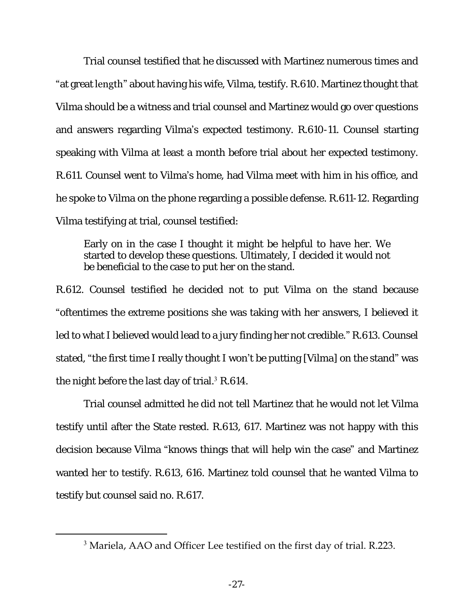Trial counsel testified that he discussed with Martinez numerous times and "at great **length**" about having his wife, Vilma, testify. R.610. Martinez thought that Vilma should be a witness and trial counsel and Martinez would go over questions and answers regarding Vilma's expected testimony. R.610-11. Counsel starting speaking with Vilma at least a month before trial about her expected testimony. R.611. Counsel went to Vilma's home, had Vilma meet with him in his office, and he spoke to Vilma on the phone regarding a possible defense. R.611-12. Regarding Vilma testifying at trial, counsel testified:

Early on in the case I thought it might be helpful to have her. We started to develop these questions. Ultimately, I decided it would not be beneficial to the case to put her on the stand.

R.612. Counsel testified he decided not to put Vilma on the stand because "oftentimes the extreme positions she was taking with her answers, I believed it led to what I believed would lead to a jury finding her not credible." R.613. Counsel stated, "the first time I really thought I won't be putting [Vilma] on the stand" was the night before the last day of trial.<sup>3</sup> R.614.

Trial counsel admitted he did not tell Martinez that he would not let Vilma testify until after the State rested. R.613, 617. Martinez was not happy with this decision because Vilma "knows things that will help win the case" and Martinez wanted her to testify. R.613, 616. Martinez told counsel that he wanted Vilma to testify but counsel said no. R.617.

 $\overline{a}$ 

<sup>3</sup> Mariela, AAO and Officer Lee testified on the first day of trial. R.223.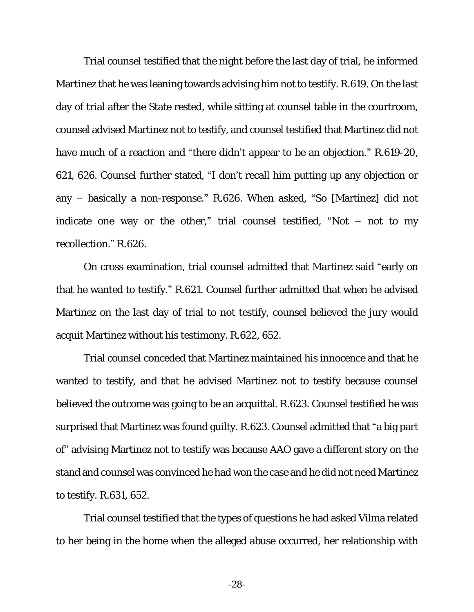Trial counsel testified that the night before the last day of trial, he informed Martinez that he was leaning towards advising him not to testify. R.619. On the last day of trial after the State rested, while sitting at counsel table in the courtroom, counsel advised Martinez not to testify, and counsel testified that Martinez did not have much of a reaction and "there didn't appear to be an objection." R.619-20, 621, 626. Counsel further stated, "I don't recall him putting up any objection or any – basically a non-response." R.626. When asked, "So [Martinez] did not indicate one way or the other," trial counsel testified, "Not  $-$  not to my recollection." R.626.

On cross examination, trial counsel admitted that Martinez said "early on that he wanted to testify." R.621. Counsel further admitted that when he advised Martinez on the last day of trial to not testify, counsel believed the jury would acquit Martinez without his testimony. R.622, 652.

Trial counsel conceded that Martinez maintained his innocence and that he wanted to testify, and that he advised Martinez not to testify because counsel believed the outcome was going to be an acquittal. R.623. Counsel testified he was surprised that Martinez was found guilty. R.623. Counsel admitted that "a big part of" advising Martinez not to testify was because AAO gave a different story on the stand and counsel was convinced he had won the case and he did not need Martinez to testify. R.631, 652.

Trial counsel testified that the types of questions he had asked Vilma related to her being in the home when the alleged abuse occurred, her relationship with

-28-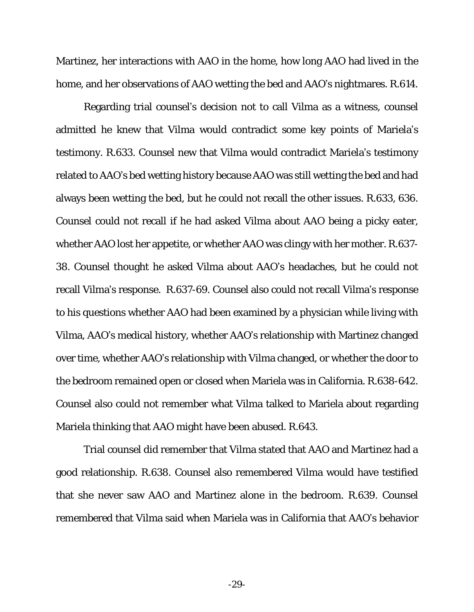Martinez, her interactions with AAO in the home, how long AAO had lived in the home, and her observations of AAO wetting the bed and AAO's nightmares. R.614.

Regarding trial counsel's decision not to call Vilma as a witness, counsel admitted he knew that Vilma would contradict some key points of Mariela's testimony. R.633. Counsel new that Vilma would contradict Mariela's testimony related to AAO's bed wetting history because AAO was still wetting the bed and had always been wetting the bed, but he could not recall the other issues. R.633, 636. Counsel could not recall if he had asked Vilma about AAO being a picky eater, whether AAO lost her appetite, or whether AAO was clingy with her mother. R.637- 38. Counsel thought he asked Vilma about AAO's headaches, but he could not recall Vilma's response. R.637-69. Counsel also could not recall Vilma's response to his questions whether AAO had been examined by a physician while living with Vilma, AAO's medical history, whether AAO's relationship with Martinez changed over time, whether AAO's relationship with Vilma changed, or whether the door to the bedroom remained open or closed when Mariela was in California. R.638-642. Counsel also could not remember what Vilma talked to Mariela about regarding Mariela thinking that AAO might have been abused. R.643.

Trial counsel did remember that Vilma stated that AAO and Martinez had a good relationship. R.638. Counsel also remembered Vilma would have testified that she never saw AAO and Martinez alone in the bedroom. R.639. Counsel remembered that Vilma said when Mariela was in California that AAO's behavior

-29-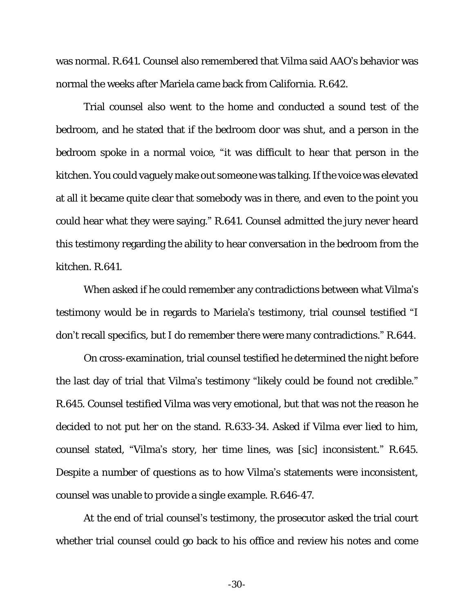was normal. R.641. Counsel also remembered that Vilma said AAO's behavior was normal the weeks after Mariela came back from California. R.642.

Trial counsel also went to the home and conducted a sound test of the bedroom, and he stated that if the bedroom door was shut, and a person in the bedroom spoke in a normal voice, "it was difficult to hear that person in the kitchen. You could vaguely make out someone was talking. If the voice was elevated at all it became quite clear that somebody was in there, and even to the point you could hear what they were saying." R.641. Counsel admitted the jury never heard this testimony regarding the ability to hear conversation in the bedroom from the kitchen. R.641.

When asked if he could remember any contradictions between what Vilma's testimony would be in regards to Mariela's testimony, trial counsel testified "I don't recall specifics, but I do remember there were many contradictions." R.644.

On cross-examination, trial counsel testified he determined the night before the last day of trial that Vilma's testimony "likely could be found not credible." R.645. Counsel testified Vilma was very emotional, but that was not the reason he decided to not put her on the stand. R.633-34. Asked if Vilma ever lied to him, counsel stated, "Vilma's story, her time lines, was [sic] inconsistent." R.645. Despite a number of questions as to how Vilma's statements were inconsistent, counsel was unable to provide a single example. R.646-47.

At the end of trial counsel's testimony, the prosecutor asked the trial court whether trial counsel could go back to his office and review his notes and come

-30-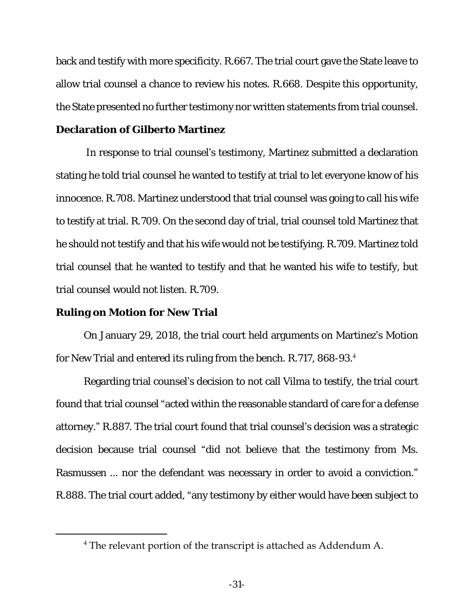back and testify with more specificity. R.667. The trial court gave the State leave to allow trial counsel a chance to review his notes. R.668. Despite this opportunity, the State presented no further testimony nor written statements from trial counsel. **Declaration of Gilberto Martinez**

In response to trial counsel's testimony, Martinez submitted a declaration stating he told trial counsel he wanted to testify at trial to let everyone know of his innocence. R.708. Martinez understood that trial counsel was going to call his wife to testify at trial. R.709. On the second day of trial, trial counsel told Martinez that he should not testify and that his wife would not be testifying. R.709. Martinez told trial counsel that he wanted to testify and that he wanted his wife to testify, but trial counsel would not listen. R.709.

#### **Ruling on Motion for New Trial**

 $\overline{a}$ 

On January 29, 2018, the trial court held arguments on Martinez's Motion for New Trial and entered its ruling from the bench. R.717, 868-93. 4

Regarding trial counsel's decision to not call Vilma to testify, the trial court found that trial counsel "acted within the reasonable standard of care for a defense attorney." R.887. The trial court found that trial counsel's decision was a strategic decision because trial counsel "did not believe that the testimony from Ms. Rasmussen … nor the defendant was necessary in order to avoid a conviction." R.888. The trial court added, "any testimony by either would have been subject to

<sup>4</sup> The relevant portion of the transcript is attached as Addendum A.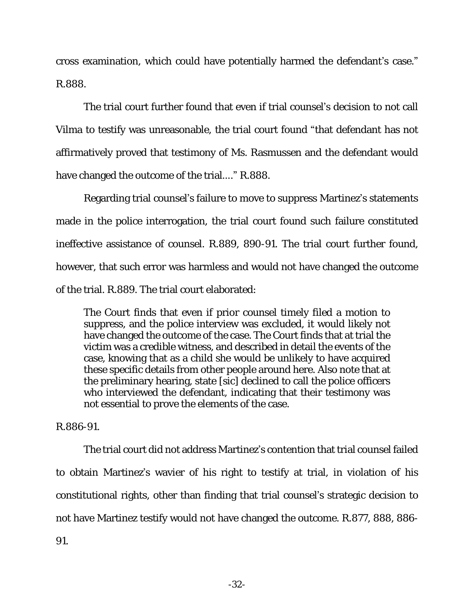cross examination, which could have potentially harmed the defendant's case." R.888.

The trial court further found that even if trial counsel's decision to not call Vilma to testify was unreasonable, the trial court found "that defendant has not affirmatively proved that testimony of Ms. Rasmussen and the defendant would have changed the outcome of the trial…." R.888.

Regarding trial counsel's failure to move to suppress Martinez's statements made in the police interrogation, the trial court found such failure constituted ineffective assistance of counsel. R.889, 890-91. The trial court further found, however, that such error was harmless and would not have changed the outcome of the trial. R.889. The trial court elaborated:

The Court finds that even if prior counsel timely filed a motion to suppress, and the police interview was excluded, it would likely not have changed the outcome of the case. The Court finds that at trial the victim was a credible witness, and described in detail the events of the case, knowing that as a child she would be unlikely to have acquired these specific details from other people around here. Also note that at the preliminary hearing, state [sic] declined to call the police officers who interviewed the defendant, indicating that their testimony was not essential to prove the elements of the case.

### R.886-91.

The trial court did not address Martinez's contention that trial counsel failed to obtain Martinez's wavier of his right to testify at trial, in violation of his constitutional rights, other than finding that trial counsel's strategic decision to not have Martinez testify would not have changed the outcome. R.877, 888, 886- 91.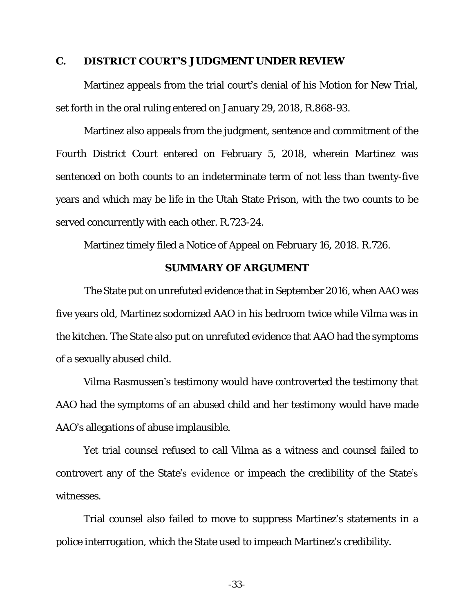#### **C. DISTRICT COURT'S JUDGMENT UNDER REVIEW**

Martinez appeals from the trial court's denial of his Motion for New Trial, set forth in the oral ruling entered on January 29, 2018, R.868-93.

Martinez also appeals from the judgment, sentence and commitment of the Fourth District Court entered on February 5, 2018, wherein Martinez was sentenced on both counts to an indeterminate term of not less than twenty-five years and which may be life in the Utah State Prison, with the two counts to be served concurrently with each other. R.723-24.

Martinez timely filed a Notice of Appeal on February 16, 2018. R.726.

#### **SUMMARY OF ARGUMENT**

 The State put on unrefuted evidence that in September 2016, when AAO was five years old, Martinez sodomized AAO in his bedroom twice while Vilma was in the kitchen. The State also put on unrefuted evidence that AAO had the symptoms of a sexually abused child.

Vilma Rasmussen's testimony would have controverted the testimony that AAO had the symptoms of an abused child and her testimony would have made AAO's allegations of abuse implausible.

Yet trial counsel refused to call Vilma as a witness and counsel failed to controvert any of the State's evidence or impeach the credibility of the State's witnesses.

Trial counsel also failed to move to suppress Martinez's statements in a police interrogation, which the State used to impeach Martinez's credibility.

-33-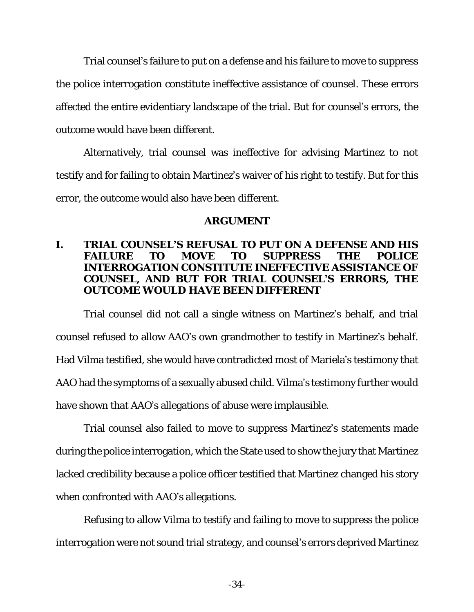Trial counsel's failure to put on a defense and his failure to move to suppress the police interrogation constitute ineffective assistance of counsel. These errors affected the entire evidentiary landscape of the trial. But for counsel's errors, the outcome would have been different.

Alternatively, trial counsel was ineffective for advising Martinez to not testify and for failing to obtain Martinez's waiver of his right to testify. But for this error, the outcome would also have been different.

### **ARGUMENT**

**I. TRIAL COUNSEL'S REFUSAL TO PUT ON A DEFENSE AND HIS FAILURE TO MOVE TO SUPPRESS THE POLICE INTERROGATION CONSTITUTE INEFFECTIVE ASSISTANCE OF COUNSEL, AND BUT FOR TRIAL COUNSEL'S ERRORS, THE OUTCOME WOULD HAVE BEEN DIFFERENT**

Trial counsel did not call a single witness on Martinez's behalf, and trial counsel refused to allow AAO's own grandmother to testify in Martinez's behalf. Had Vilma testified, she would have contradicted most of Mariela's testimony that AAO had the symptoms of a sexually abused child. Vilma's testimony further would have shown that AAO's allegations of abuse were implausible.

Trial counsel also failed to move to suppress Martinez's statements made during the police interrogation, which the State used to show the jury that Martinez lacked credibility because a police officer testified that Martinez changed his story when confronted with AAO's allegations.

Refusing to allow Vilma to testify and failing to move to suppress the police interrogation were not sound trial strategy, and counsel's errors deprived Martinez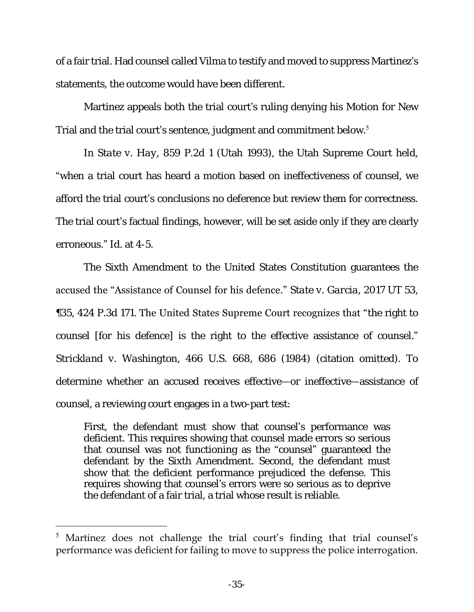of a fair trial. Had counsel called Vilma to testify and moved to suppress Martinez's statements, the outcome would have been different.

Martinez appeals both the trial court's ruling denying his Motion for New Trial and the trial court's sentence, judgment and commitment below.<sup>5</sup>

In *State v. Hay*, 859 P.2d 1 (Utah 1993), the Utah Supreme Court held, "when a trial court has heard a motion based on ineffectiveness of counsel, we afford the trial court's conclusions no deference but review them for correctness. The trial court's factual findings, however, will be set aside only if they are clearly erroneous." *Id*. at 4-5.

The Sixth Amendment to the United States Constitution guarantees the accused the "Assistance of Counsel for his defence." *State v. Garcia*, 2017 UT 53, ¶35, 424 P.3d 171. The United States Supreme Court recognizes that "the right to counsel [for his defence] is the right to the effective assistance of counsel." *Strickland v. Washington*, 466 U.S. 668, 686 (1984) (citation omitted). To determine whether an accused receives effective—or ineffective—assistance of counsel, a reviewing court engages in a two-part test:

First, the defendant must show that counsel's performance was deficient. This requires showing that counsel made errors so serious that counsel was not functioning as the "counsel" guaranteed the defendant by the Sixth Amendment. Second, the defendant must show that the deficient performance prejudiced the defense. This requires showing that counsel's errors were so serious as to deprive the defendant of a fair trial, a trial whose result is reliable.

 $\overline{a}$ 

<sup>5</sup> Martinez does not challenge the trial court's finding that trial counsel's performance was deficient for failing to move to suppress the police interrogation.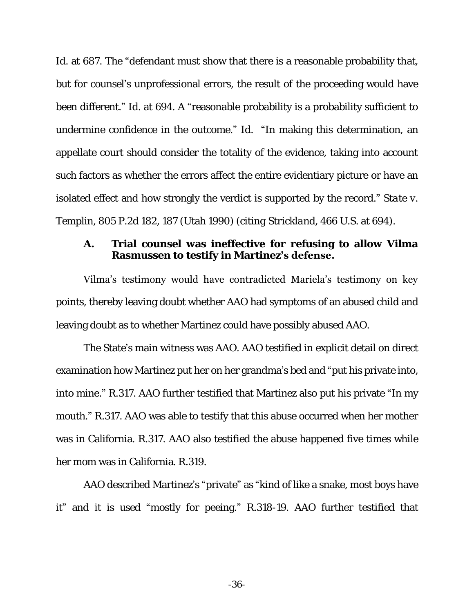*Id*. at 687. The "defendant must show that there is a reasonable probability that, but for counsel's unprofessional errors, the result of the proceeding would have been different." *Id*. at 694. A "reasonable probability is a probability sufficient to undermine confidence in the outcome." *Id*. "In making this determination, an appellate court should consider the totality of the evidence, taking into account such factors as whether the errors affect the entire evidentiary picture or have an isolated effect and how strongly the verdict is supported by the record." *State v. Templin*, 805 P.2d 182, 187 (Utah 1990) (*citing Strickland*, 466 U.S. at 694).

**A. Trial counsel was ineffective for refusing to allow Vilma Rasmussen to testify in Martinez's defense.**

Vilma's testimony would have contradicted Mariela's testimony on key points, thereby leaving doubt whether AAO had symptoms of an abused child and leaving doubt as to whether Martinez could have possibly abused AAO.

The State's main witness was AAO. AAO testified in explicit detail on direct examination how Martinez put her on her grandma's bed and "put his private into, into mine." R.317. AAO further testified that Martinez also put his private "In my mouth." R.317. AAO was able to testify that this abuse occurred when her mother was in California. R.317. AAO also testified the abuse happened five times while her mom was in California. R.319.

AAO described Martinez's "private" as "kind of like a snake, most boys have it" and it is used "mostly for peeing." R.318-19. AAO further testified that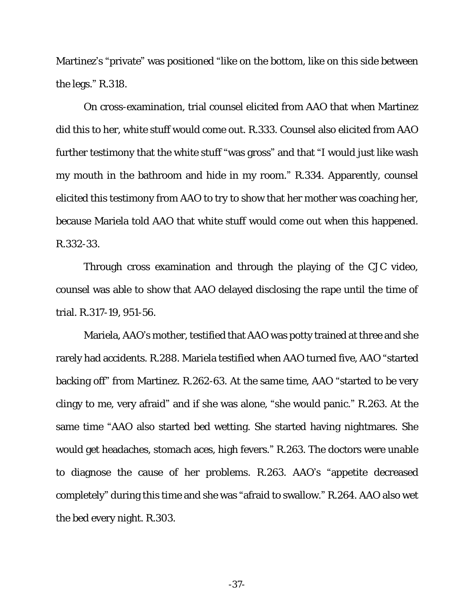Martinez's "private" was positioned "like on the bottom, like on this side between the legs." R.318.

On cross-examination, trial counsel elicited from AAO that when Martinez did this to her, white stuff would come out. R.333. Counsel also elicited from AAO further testimony that the white stuff "was gross" and that "I would just like wash my mouth in the bathroom and hide in my room." R.334. Apparently, counsel elicited this testimony from AAO to try to show that her mother was coaching her, because Mariela told AAO that white stuff would come out when this happened. R.332-33.

Through cross examination and through the playing of the CJC video, counsel was able to show that AAO delayed disclosing the rape until the time of trial. R.317-19, 951-56.

Mariela, AAO's mother, testified that AAO was potty trained at three and she rarely had accidents. R.288. Mariela testified when AAO turned five, AAO "started backing off" from Martinez. R.262-63. At the same time, AAO "started to be very clingy to me, very afraid" and if she was alone, "she would panic." R.263. At the same time "AAO also started bed wetting. She started having nightmares. She would get headaches, stomach aces, high fevers." R.263. The doctors were unable to diagnose the cause of her problems. R.263. AAO's "appetite decreased completely" during this time and she was "afraid to swallow." R.264. AAO also wet the bed every night. R.303.

-37-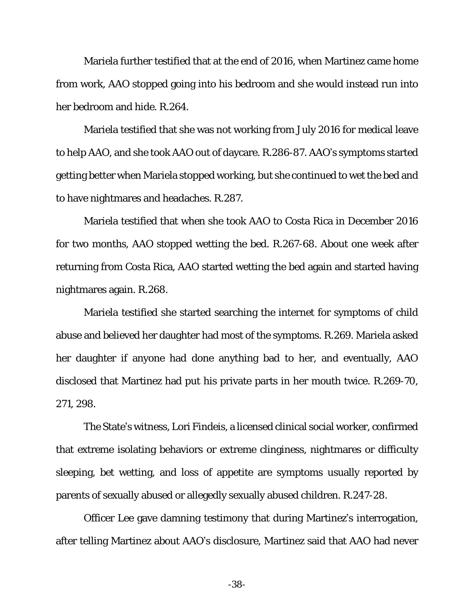Mariela further testified that at the end of 2016, when Martinez came home from work, AAO stopped going into his bedroom and she would instead run into her bedroom and hide. R.264.

Mariela testified that she was not working from July 2016 for medical leave to help AAO, and she took AAO out of daycare. R.286-87. AAO's symptoms started getting better when Mariela stopped working, but she continued to wet the bed and to have nightmares and headaches. R.287.

Mariela testified that when she took AAO to Costa Rica in December 2016 for two months, AAO stopped wetting the bed. R.267-68. About one week after returning from Costa Rica, AAO started wetting the bed again and started having nightmares again. R.268.

Mariela testified she started searching the internet for symptoms of child abuse and believed her daughter had most of the symptoms. R.269. Mariela asked her daughter if anyone had done anything bad to her, and eventually, AAO disclosed that Martinez had put his private parts in her mouth twice. R.269-70, 271, 298.

The State's witness, Lori Findeis, a licensed clinical social worker, confirmed that extreme isolating behaviors or extreme clinginess, nightmares or difficulty sleeping, bet wetting, and loss of appetite are symptoms usually reported by parents of sexually abused or allegedly sexually abused children. R.247-28.

Officer Lee gave damning testimony that during Martinez's interrogation, after telling Martinez about AAO's disclosure, Martinez said that AAO had never

-38-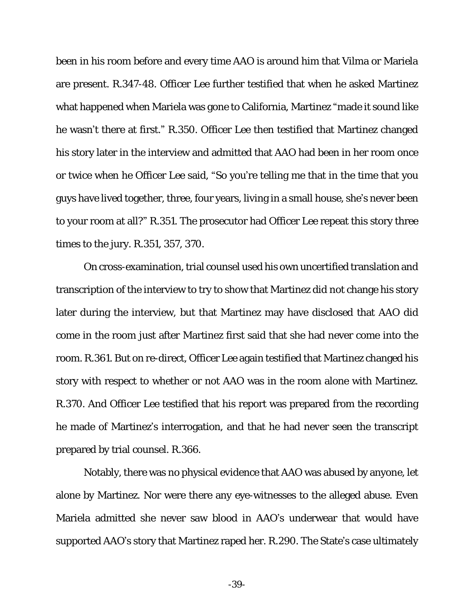been in his room before and every time AAO is around him that Vilma or Mariela are present. R.347-48. Officer Lee further testified that when he asked Martinez what happened when Mariela was gone to California, Martinez "made it sound like he wasn't there at first." R.350. Officer Lee then testified that Martinez changed his story later in the interview and admitted that AAO had been in her room once or twice when he Officer Lee said, "So you're telling me that in the time that you guys have lived together, three, four years, living in a small house, she's never been to your room at all?" R.351. The prosecutor had Officer Lee repeat this story three times to the jury. R.351, 357, 370.

On cross-examination, trial counsel used his own uncertified translation and transcription of the interview to try to show that Martinez did not change his story later during the interview, but that Martinez may have disclosed that AAO did come in the room just after Martinez first said that she had never come into the room. R.361. But on re-direct, Officer Lee again testified that Martinez changed his story with respect to whether or not AAO was in the room alone with Martinez. R.370. And Officer Lee testified that his report was prepared from the recording he made of Martinez's interrogation, and that he had never seen the transcript prepared by trial counsel. R.366.

Notably, there was no physical evidence that AAO was abused by anyone, let alone by Martinez. Nor were there any eye-witnesses to the alleged abuse. Even Mariela admitted she never saw blood in AAO's underwear that would have supported AAO's story that Martinez raped her. R.290. The State's case ultimately

-39-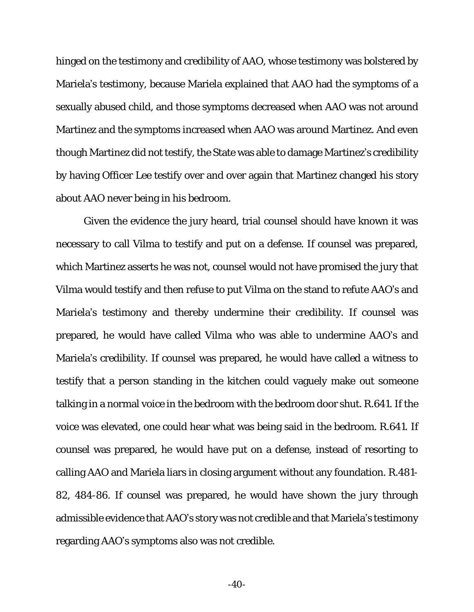hinged on the testimony and credibility of AAO, whose testimony was bolstered by Mariela's testimony, because Mariela explained that AAO had the symptoms of a sexually abused child, and those symptoms decreased when AAO was not around Martinez and the symptoms increased when AAO was around Martinez. And even though Martinez did not testify, the State was able to damage Martinez's credibility by having Officer Lee testify over and over again that Martinez changed his story about AAO never being in his bedroom.

Given the evidence the jury heard, trial counsel should have known it was necessary to call Vilma to testify and put on a defense. If counsel was prepared, which Martinez asserts he was not, counsel would not have promised the jury that Vilma would testify and then refuse to put Vilma on the stand to refute AAO's and Mariela's testimony and thereby undermine their credibility. If counsel was prepared, he would have called Vilma who was able to undermine AAO's and Mariela's credibility. If counsel was prepared, he would have called a witness to testify that a person standing in the kitchen could vaguely make out someone talking in a normal voice in the bedroom with the bedroom door shut. R.641. If the voice was elevated, one could hear what was being said in the bedroom. R.641. If counsel was prepared, he would have put on a defense, instead of resorting to calling AAO and Mariela liars in closing argument without any foundation. R.481- 82, 484-86. If counsel was prepared, he would have shown the jury through admissible evidence that AAO's story was not credible and that Mariela's testimony regarding AAO's symptoms also was not credible.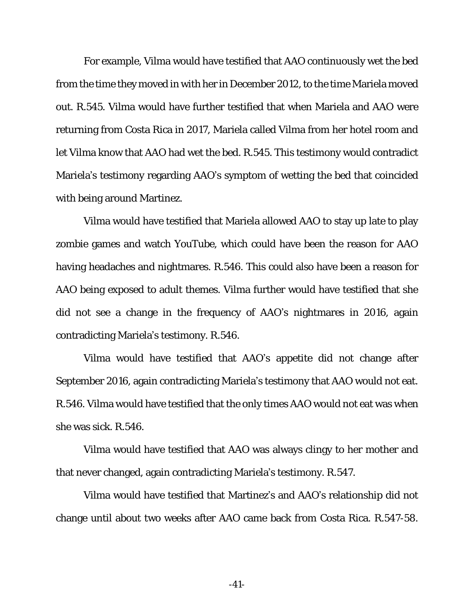For example, Vilma would have testified that AAO continuously wet the bed from the time they moved in with her in December 2012, to the time Mariela moved out. R.545. Vilma would have further testified that when Mariela and AAO were returning from Costa Rica in 2017, Mariela called Vilma from her hotel room and let Vilma know that AAO had wet the bed. R.545. This testimony would contradict Mariela's testimony regarding AAO's symptom of wetting the bed that coincided with being around Martinez.

Vilma would have testified that Mariela allowed AAO to stay up late to play zombie games and watch YouTube, which could have been the reason for AAO having headaches and nightmares. R.546. This could also have been a reason for AAO being exposed to adult themes. Vilma further would have testified that she did not see a change in the frequency of AAO's nightmares in 2016, again contradicting Mariela's testimony. R.546.

Vilma would have testified that AAO's appetite did not change after September 2016, again contradicting Mariela's testimony that AAO would not eat. R.546. Vilma would have testified that the only times AAO would not eat was when she was sick. R.546.

Vilma would have testified that AAO was always clingy to her mother and that never changed, again contradicting Mariela's testimony. R.547.

Vilma would have testified that Martinez's and AAO's relationship did not change until about two weeks after AAO came back from Costa Rica. R.547-58.

-41-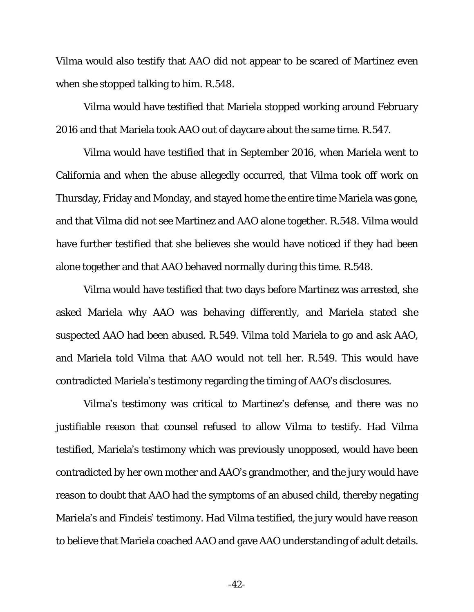Vilma would also testify that AAO did not appear to be scared of Martinez even when she stopped talking to him. R.548.

Vilma would have testified that Mariela stopped working around February 2016 and that Mariela took AAO out of daycare about the same time. R.547.

Vilma would have testified that in September 2016, when Mariela went to California and when the abuse allegedly occurred, that Vilma took off work on Thursday, Friday and Monday, and stayed home the entire time Mariela was gone, and that Vilma did not see Martinez and AAO alone together. R.548. Vilma would have further testified that she believes she would have noticed if they had been alone together and that AAO behaved normally during this time. R.548.

Vilma would have testified that two days before Martinez was arrested, she asked Mariela why AAO was behaving differently, and Mariela stated she suspected AAO had been abused. R.549. Vilma told Mariela to go and ask AAO, and Mariela told Vilma that AAO would not tell her. R.549. This would have contradicted Mariela's testimony regarding the timing of AAO's disclosures.

Vilma's testimony was critical to Martinez's defense, and there was no justifiable reason that counsel refused to allow Vilma to testify. Had Vilma testified, Mariela's testimony which was previously unopposed, would have been contradicted by her own mother and AAO's grandmother, and the jury would have reason to doubt that AAO had the symptoms of an abused child, thereby negating Mariela's and Findeis' testimony. Had Vilma testified, the jury would have reason to believe that Mariela coached AAO and gave AAO understanding of adult details.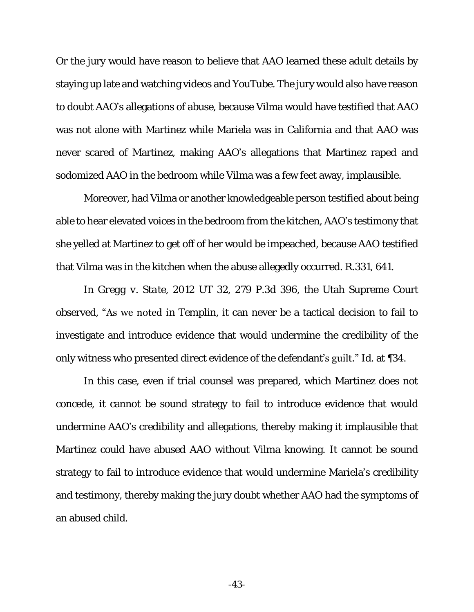Or the jury would have reason to believe that AAO learned these adult details by staying up late and watching videos and YouTube. The jury would also have reason to doubt AAO's allegations of abuse, because Vilma would have testified that AAO was not alone with Martinez while Mariela was in California and that AAO was never scared of Martinez, making AAO's allegations that Martinez raped and sodomized AAO in the bedroom while Vilma was a few feet away, implausible.

Moreover, had Vilma or another knowledgeable person testified about being able to hear elevated voices in the bedroom from the kitchen, AAO's testimony that she yelled at Martinez to get off of her would be impeached, because AAO testified that Vilma was in the kitchen when the abuse allegedly occurred. R.331, 641.

In *Gregg v. State*, 2012 UT 32, 279 P.3d 396, the Utah Supreme Court observed, "As we noted in *Templin*, it can never be a tactical decision to fail to investigate and introduce evidence that would undermine the credibility of the only witness who presented direct evidence of the defendant's guilt." *Id*. at ¶34.

In this case, even if trial counsel was prepared, which Martinez does not concede, it cannot be sound strategy to fail to introduce evidence that would undermine AAO's credibility and allegations, thereby making it implausible that Martinez could have abused AAO without Vilma knowing. It cannot be sound strategy to fail to introduce evidence that would undermine Mariela's credibility and testimony, thereby making the jury doubt whether AAO had the symptoms of an abused child.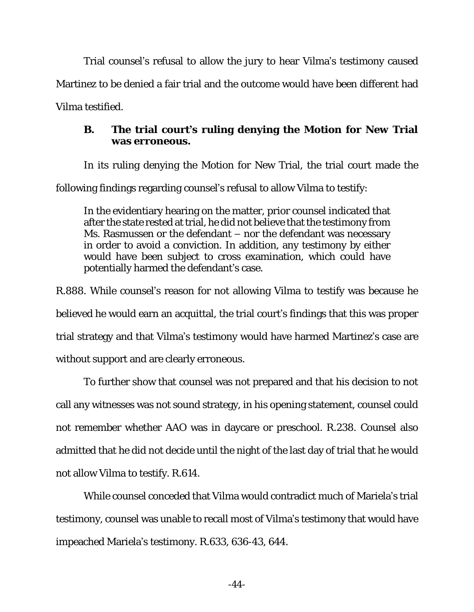Trial counsel's refusal to allow the jury to hear Vilma's testimony caused Martinez to be denied a fair trial and the outcome would have been different had Vilma testified.

**B. The trial court's ruling denying the Motion for New Trial was erroneous.** 

In its ruling denying the Motion for New Trial, the trial court made the

following findings regarding counsel's refusal to allow Vilma to testify:

In the evidentiary hearing on the matter, prior counsel indicated that after the state rested at trial, he did not believe that the testimony from Ms. Rasmussen or the defendant – nor the defendant was necessary in order to avoid a conviction. In addition, any testimony by either would have been subject to cross examination, which could have potentially harmed the defendant's case.

R.888. While counsel's reason for not allowing Vilma to testify was because he believed he would earn an acquittal, the trial court's findings that this was proper trial strategy and that Vilma's testimony would have harmed Martinez's case are without support and are clearly erroneous.

To further show that counsel was not prepared and that his decision to not call any witnesses was not sound strategy, in his opening statement, counsel could not remember whether AAO was in daycare or preschool. R.238. Counsel also admitted that he did not decide until the night of the last day of trial that he would not allow Vilma to testify. R.614.

While counsel conceded that Vilma would contradict much of Mariela's trial testimony, counsel was unable to recall most of Vilma's testimony that would have impeached Mariela's testimony. R.633, 636-43, 644.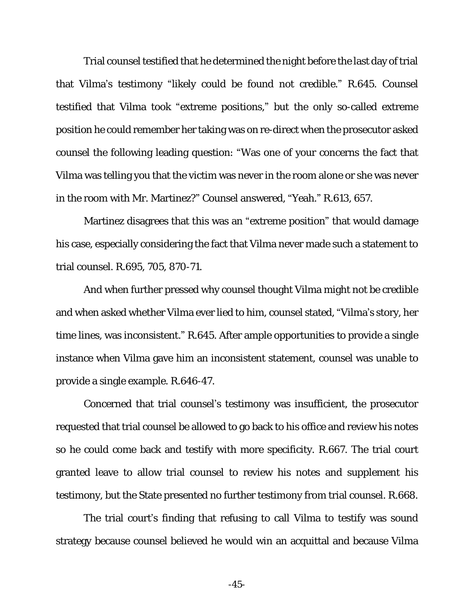Trial counsel testified that he determined the night before the last day of trial that Vilma's testimony "likely could be found not credible." R.645. Counsel testified that Vilma took "extreme positions," but the only so-called extreme position he could remember her taking was on re-direct when the prosecutor asked counsel the following leading question: "Was one of your concerns the fact that Vilma was telling you that the victim was never in the room alone or she was never in the room with Mr. Martinez?" Counsel answered, "Yeah." R.613, 657.

Martinez disagrees that this was an "extreme position" that would damage his case, especially considering the fact that Vilma never made such a statement to trial counsel. R.695, 705, 870-71.

And when further pressed why counsel thought Vilma might not be credible and when asked whether Vilma ever lied to him, counsel stated, "Vilma's story, her time lines, was inconsistent." R.645. After ample opportunities to provide a single instance when Vilma gave him an inconsistent statement, counsel was unable to provide a single example. R.646-47.

Concerned that trial counsel's testimony was insufficient, the prosecutor requested that trial counsel be allowed to go back to his office and review his notes so he could come back and testify with more specificity. R.667. The trial court granted leave to allow trial counsel to review his notes and supplement his testimony, but the State presented no further testimony from trial counsel. R.668.

The trial court's finding that refusing to call Vilma to testify was sound strategy because counsel believed he would win an acquittal and because Vilma

-45-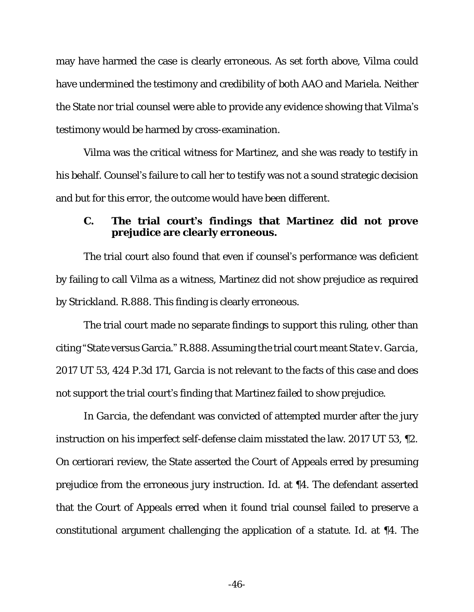may have harmed the case is clearly erroneous. As set forth above, Vilma could have undermined the testimony and credibility of both AAO and Mariela. Neither the State nor trial counsel were able to provide any evidence showing that Vilma's testimony would be harmed by cross-examination.

Vilma was the critical witness for Martinez, and she was ready to testify in his behalf. Counsel's failure to call her to testify was not a sound strategic decision and but for this error, the outcome would have been different.

#### **C. The trial court's findings that Martinez did not prove prejudice are clearly erroneous.**

The trial court also found that even if counsel's performance was deficient by failing to call Vilma as a witness, Martinez did not show prejudice as required by *Strickland*. R.888. This finding is clearly erroneous.

The trial court made no separate findings to support this ruling, other than citing "State versus Garcia." R.888. Assuming the trial court meant *State v. Garcia*, 2017 UT 53, 424 P.3d 171, *Garcia* is not relevant to the facts of this case and does not support the trial court's finding that Martinez failed to show prejudice.

In *Garcia*, the defendant was convicted of attempted murder after the jury instruction on his imperfect self-defense claim misstated the law. 2017 UT 53, ¶2. On certiorari review, the State asserted the Court of Appeals erred by presuming prejudice from the erroneous jury instruction. *Id*. at ¶4. The defendant asserted that the Court of Appeals erred when it found trial counsel failed to preserve a constitutional argument challenging the application of a statute. *Id*. at ¶4. The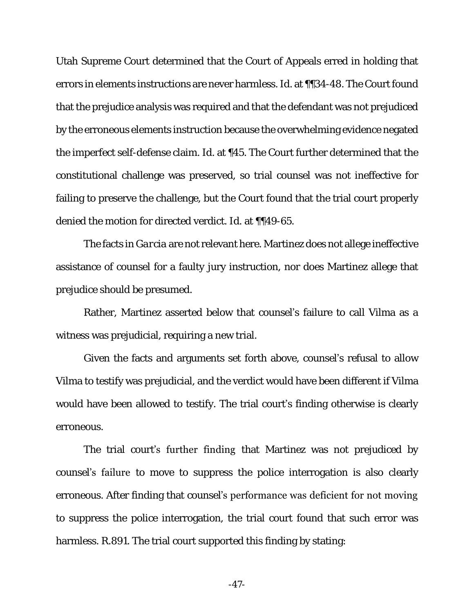Utah Supreme Court determined that the Court of Appeals erred in holding that errors in elements instructions are never harmless. *Id*. at ¶¶34-48. The Court found that the prejudice analysis was required and that the defendant was not prejudiced by the erroneous elements instruction because the overwhelming evidence negated the imperfect self-defense claim. *Id*. at ¶45. The Court further determined that the constitutional challenge was preserved, so trial counsel was not ineffective for failing to preserve the challenge, but the Court found that the trial court properly denied the motion for directed verdict. *Id*. at ¶¶49-65.

The facts in *Garcia* are not relevant here. Martinez does not allege ineffective assistance of counsel for a faulty jury instruction, nor does Martinez allege that prejudice should be presumed.

Rather, Martinez asserted below that counsel's failure to call Vilma as a witness was prejudicial, requiring a new trial.

Given the facts and arguments set forth above, counsel's refusal to allow Vilma to testify was prejudicial, and the verdict would have been different if Vilma would have been allowed to testify. The trial court's finding otherwise is clearly erroneous.

The trial court's further finding that Martinez was not prejudiced by counsel's failure to move to suppress the police interrogation is also clearly erroneous. After finding that counsel's performance was deficient for not moving to suppress the police interrogation, the trial court found that such error was harmless. R.891. The trial court supported this finding by stating:

-47-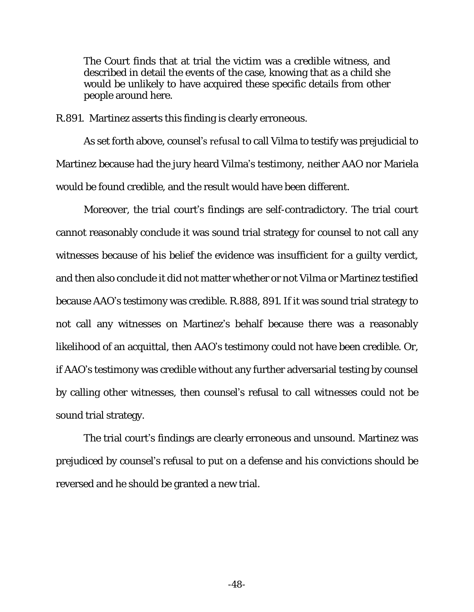The Court finds that at trial the victim was a credible witness, and described in detail the events of the case, knowing that as a child she would be unlikely to have acquired these specific details from other people around here.

R.891. Martinez asserts this finding is clearly erroneous.

As set forth above, counsel's refusal to call Vilma to testify was prejudicial to Martinez because had the jury heard Vilma's testimony, neither AAO nor Mariela would be found credible, and the result would have been different.

Moreover, the trial court's findings are self-contradictory. The trial court cannot reasonably conclude it was sound trial strategy for counsel to not call any witnesses because of his belief the evidence was insufficient for a guilty verdict, and then also conclude it did not matter whether or not Vilma or Martinez testified because AAO's testimony was credible. R.888, 891. If it was sound trial strategy to not call any witnesses on Martinez's behalf because there was a reasonably likelihood of an acquittal, then AAO's testimony could not have been credible. Or, if AAO's testimony was credible without any further adversarial testing by counsel by calling other witnesses, then counsel's refusal to call witnesses could not be sound trial strategy.

The trial court's findings are clearly erroneous and unsound. Martinez was prejudiced by counsel's refusal to put on a defense and his convictions should be reversed and he should be granted a new trial.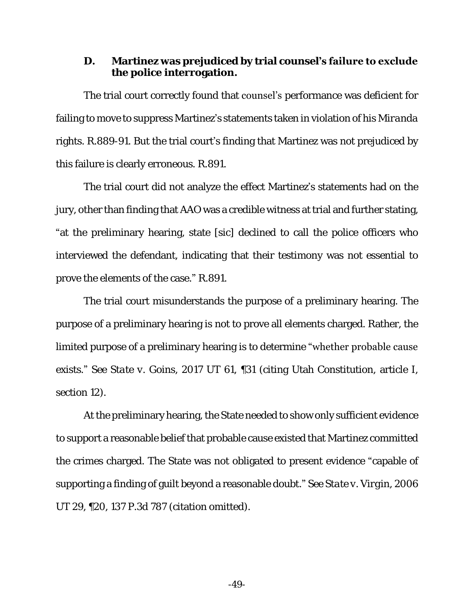#### **D. Martinez was prejudiced by trial counsel's failure to exclude the police interrogation.**

The trial court correctly found that **counsel's** performance was deficient for failing to move to suppress Martinez's statements taken in violation of his *Miranda* rights. R.889-91. But the trial court's finding that Martinez was not prejudiced by this failure is clearly erroneous. R.891.

The trial court did not analyze the effect Martinez's statements had on the jury, other than finding that AAO was a credible witness at trial and further stating, "at the preliminary hearing, state [sic] declined to call the police officers who interviewed the defendant, indicating that their testimony was not essential to prove the elements of the case." R.891.

The trial court misunderstands the purpose of a preliminary hearing. The purpose of a preliminary hearing is not to prove all elements charged. Rather, the limited purpose of a preliminary hearing is to determine "whether probable cause exists." *See State v. Goins*, 2017 UT 61, ¶31 (citing Utah Constitution, article I, section 12).

At the preliminary hearing, the State needed to show only sufficient evidence to support a reasonable belief that probable cause existed that Martinez committed the crimes charged. The State was not obligated to present evidence "capable of supporting a finding of guilt beyond a reasonable doubt." *See State v. Virgin*, 2006 UT 29, ¶20, 137 P.3d 787 (citation omitted).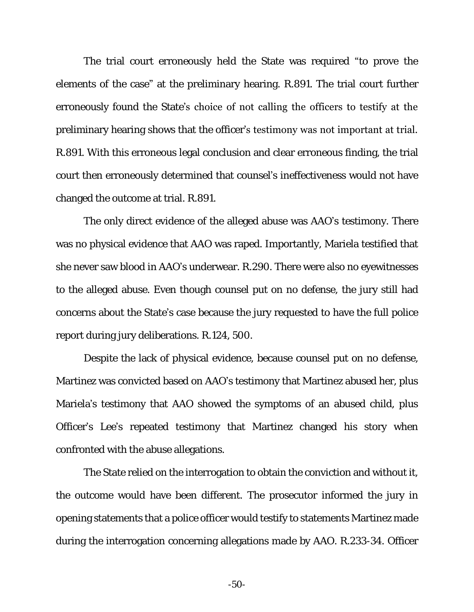The trial court erroneously held the State was required "to prove the elements of the case" at the preliminary hearing. R.891. The trial court further erroneously found the State's choice of not calling the officers to testify at the preliminary hearing shows that the officer's testimony was not important at trial. R.891. With this erroneous legal conclusion and clear erroneous finding, the trial court then erroneously determined that counsel's ineffectiveness would not have changed the outcome at trial. R.891.

The only direct evidence of the alleged abuse was AAO's testimony. There was no physical evidence that AAO was raped. Importantly, Mariela testified that she never saw blood in AAO's underwear. R.290. There were also no eyewitnesses to the alleged abuse. Even though counsel put on no defense, the jury still had concerns about the State's case because the jury requested to have the full police report during jury deliberations. R.124, 500.

Despite the lack of physical evidence, because counsel put on no defense, Martinez was convicted based on AAO's testimony that Martinez abused her, plus Mariela's testimony that AAO showed the symptoms of an abused child, plus Officer's Lee's repeated testimony that Martinez changed his story when confronted with the abuse allegations.

The State relied on the interrogation to obtain the conviction and without it, the outcome would have been different. The prosecutor informed the jury in opening statements that a police officer would testify to statements Martinez made during the interrogation concerning allegations made by AAO. R.233-34. Officer

-50-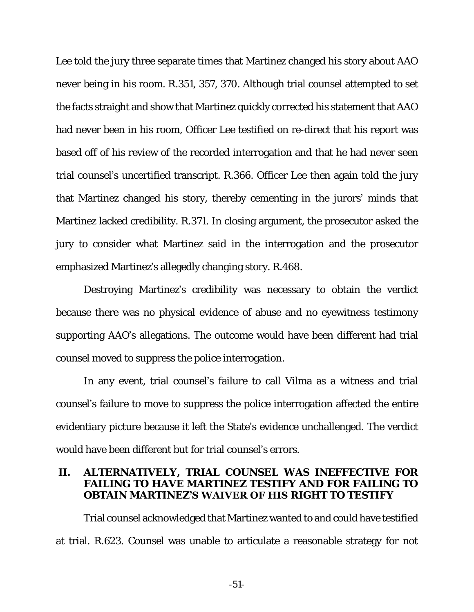Lee told the jury three separate times that Martinez changed his story about AAO never being in his room. R.351, 357, 370. Although trial counsel attempted to set the facts straight and show that Martinez quickly corrected his statement that AAO had never been in his room, Officer Lee testified on re-direct that his report was based off of his review of the recorded interrogation and that he had never seen trial counsel's uncertified transcript. R.366. Officer Lee then again told the jury that Martinez changed his story, thereby cementing in the jurors' minds that Martinez lacked credibility. R.371. In closing argument, the prosecutor asked the jury to consider what Martinez said in the interrogation and the prosecutor emphasized Martinez's allegedly changing story. R.468.

Destroying Martinez's credibility was necessary to obtain the verdict because there was no physical evidence of abuse and no eyewitness testimony supporting AAO's allegations. The outcome would have been different had trial counsel moved to suppress the police interrogation.

In any event, trial counsel's failure to call Vilma as a witness and trial counsel's failure to move to suppress the police interrogation affected the entire evidentiary picture because it left the State's evidence unchallenged. The verdict would have been different but for trial counsel's errors.

#### **II. ALTERNATIVELY, TRIAL COUNSEL WAS INEFFECTIVE FOR FAILING TO HAVE MARTINEZ TESTIFY AND FOR FAILING TO OBTAIN MARTINEZ'S WAIVER OF HIS RIGHT TO TESTIFY**

Trial counsel acknowledged that Martinez wanted to and could have testified at trial. R.623. Counsel was unable to articulate a reasonable strategy for not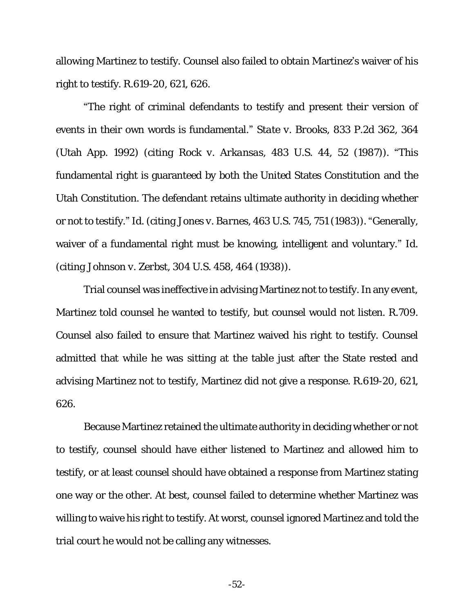allowing Martinez to testify. Counsel also failed to obtain Martinez's waiver of his right to testify. R.619-20, 621, 626.

"The right of criminal defendants to testify and present their version of events in their own words is fundamental." *State v. Brooks*, 833 P.2d 362, 364 (Utah App. 1992) (*citing Rock v. Arkansas*, 483 U.S. 44, 52 (1987)). "This fundamental right is guaranteed by both the United States Constitution and the Utah Constitution. The defendant retains ultimate authority in deciding whether or not to testify." *Id*. (*citing Jones v. Barnes*, 463 U.S. 745, 751 (1983)). "Generally, waiver of a fundamental right must be knowing, intelligent and voluntary." *Id*. (*citing Johnson v. Zerbst*, 304 U.S. 458, 464 (1938)).

Trial counsel was ineffective in advising Martinez not to testify. In any event, Martinez told counsel he wanted to testify, but counsel would not listen. R.709. Counsel also failed to ensure that Martinez waived his right to testify. Counsel admitted that while he was sitting at the table just after the State rested and advising Martinez not to testify, Martinez did not give a response. R.619-20, 621, 626.

Because Martinez retained the ultimate authority in deciding whether or not to testify, counsel should have either listened to Martinez and allowed him to testify, or at least counsel should have obtained a response from Martinez stating one way or the other. At best, counsel failed to determine whether Martinez was willing to waive his right to testify. At worst, counsel ignored Martinez and told the trial court he would not be calling any witnesses.

-52-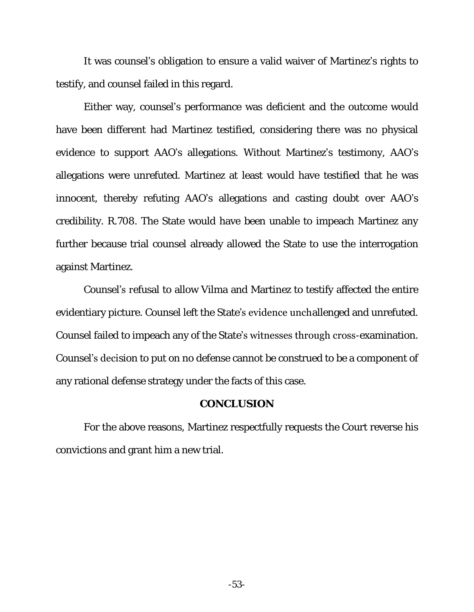It was counsel's obligation to ensure a valid waiver of Martinez's rights to testify, and counsel failed in this regard.

Either way, counsel's performance was deficient and the outcome would have been different had Martinez testified, considering there was no physical evidence to support AAO's allegations. Without Martinez's testimony, AAO's allegations were unrefuted. Martinez at least would have testified that he was innocent, thereby refuting AAO's allegations and casting doubt over AAO's credibility. R.708. The State would have been unable to impeach Martinez any further because trial counsel already allowed the State to use the interrogation against Martinez.

Counsel's refusal to allow Vilma and Martinez to testify affected the entire evidentiary picture. Counsel left the State's evidence unchallenged and unrefuted. Counsel failed to impeach any of the State's witnesses through cross-examination. Counsel's decision to put on no defense cannot be construed to be a component of any rational defense strategy under the facts of this case.

#### **CONCLUSION**

For the above reasons, Martinez respectfully requests the Court reverse his convictions and grant him a new trial.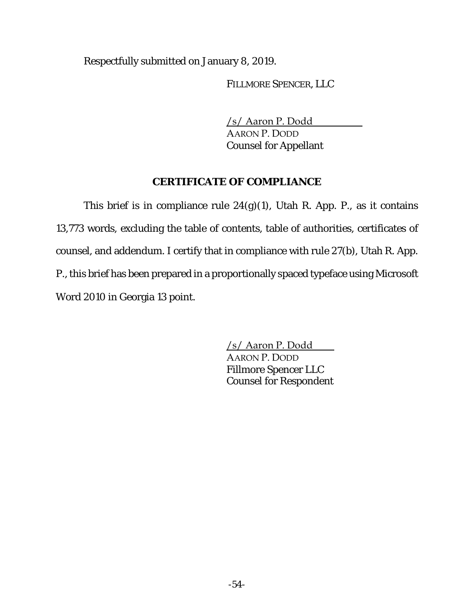Respectfully submitted on January 8, 2019.

FILLMORE SPENCER, LLC

/s/ Aaron P. Dodd

AARON P. DODD Counsel for Appellant

# **CERTIFICATE OF COMPLIANCE**

This brief is in compliance rule 24(g)(1), Utah R. App. P., as it contains 13,773 words, excluding the table of contents, table of authorities, certificates of counsel, and addendum. I certify that in compliance with rule 27(b), Utah R. App. P., this brief has been prepared in a proportionally spaced typeface using Microsoft Word 2010 in Georgia 13 point.

> /s/ Aaron P. Dodd AARON P. DODD Fillmore Spencer LLC Counsel for Respondent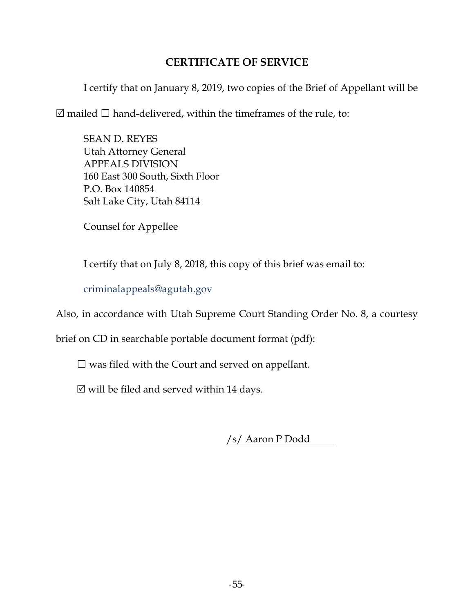## **CERTIFICATE OF SERVICE**

I certify that on January 8, 2019, two copies of the Brief of Appellant will be

 $\boxtimes$  mailed  $\Box$  hand-delivered, within the timeframes of the rule, to:

SEAN D. REYES Utah Attorney General APPEALS DIVISION 160 East 300 South, Sixth Floor P.O. Box 140854 Salt Lake City, Utah 84114

Counsel for Appellee

I certify that on July 8, 2018, this copy of this brief was email to:

[criminalappeals@agutah.gov](mailto:criminalappeals@agutah.gov)

Also, in accordance with Utah Supreme Court Standing Order No. 8, a courtesy

brief on CD in searchable portable document format (pdf):

 $\Box$  was filed with the Court and served on appellant.

 $\boxtimes$  will be filed and served within 14 days.

/s/ Aaron P Dodd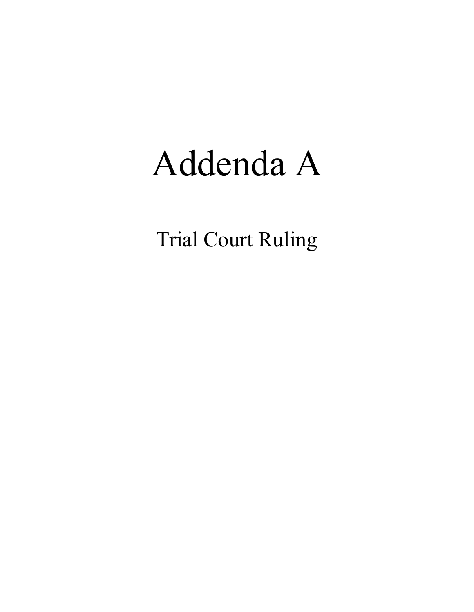# Addenda A

Trial Court Ruling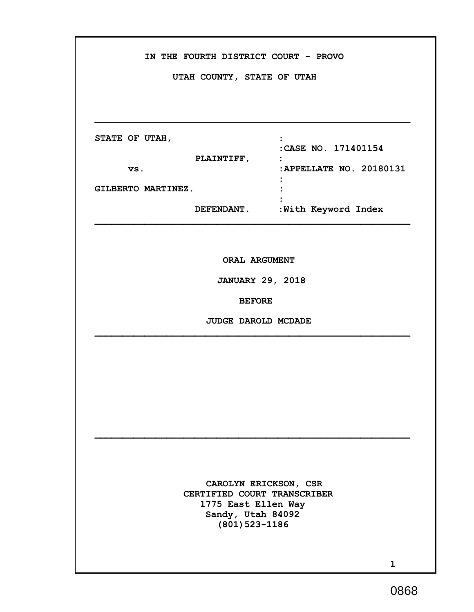| IN THE FOURTH DISTRICT COURT - PROVO<br>UTAH COUNTY, STATE OF UTAH |                                                                                           |                                             |
|--------------------------------------------------------------------|-------------------------------------------------------------------------------------------|---------------------------------------------|
|                                                                    |                                                                                           |                                             |
| STATE OF UTAH,                                                     | <b>PLAINTIFF,</b>                                                                         | :CASE NO. 171401154<br>$\ddot{\phantom{0}}$ |
| VS.<br>GILBERTO MARTINEZ.                                          |                                                                                           | : APPELLATE NO. 20180131                    |
|                                                                    |                                                                                           | DEFENDANT. : With Keyword Index             |
|                                                                    |                                                                                           |                                             |
| ORAL ARGUMENT<br><b>JANUARY 29, 2018</b>                           |                                                                                           |                                             |
|                                                                    | <b>BEFORE</b>                                                                             |                                             |
|                                                                    | JUDGE DAROLD MCDADE                                                                       |                                             |
|                                                                    |                                                                                           |                                             |
|                                                                    |                                                                                           |                                             |
|                                                                    |                                                                                           |                                             |
|                                                                    |                                                                                           |                                             |
|                                                                    |                                                                                           |                                             |
|                                                                    | CERTIFIED COURT TRANSCRIBER<br>1775 East Ellen Way<br>Sandy, Utah 84092<br>(801) 523-1186 | CAROLYN ERICKSON, CSR                       |
|                                                                    |                                                                                           | $\mathbf{1}$                                |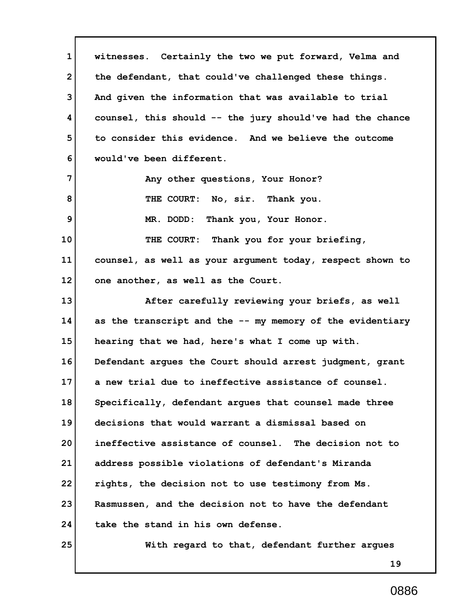**1 2 3 4 5 6 7 8 9 10 11 12 13 14 15 16 17 18 19 20 21 22 23 24 25 19 witnesses. Certainly the two we put forward, Velma and the defendant, that could've challenged these things. And given the information that was available to trial counsel, this should -- the jury should've had the chance to consider this evidence. And we believe the outcome would've been different. Any other questions, Your Honor? THE COURT: No, sir. Thank you. MR. DODD: Thank you, Your Honor. THE COURT: Thank you for your briefing, counsel, as well as your argument today, respect shown to one another, as well as the Court. After carefully reviewing your briefs, as well as the transcript and the -- my memory of the evidentiary hearing that we had, here's what I come up with. Defendant argues the Court should arrest judgment, grant a new trial due to ineffective assistance of counsel. Specifically, defendant argues that counsel made three decisions that would warrant a dismissal based on ineffective assistance of counsel. The decision not to address possible violations of defendant's Miranda rights, the decision not to use testimony from Ms. Rasmussen, and the decision not to have the defendant take the stand in his own defense. With regard to that, defendant further argues**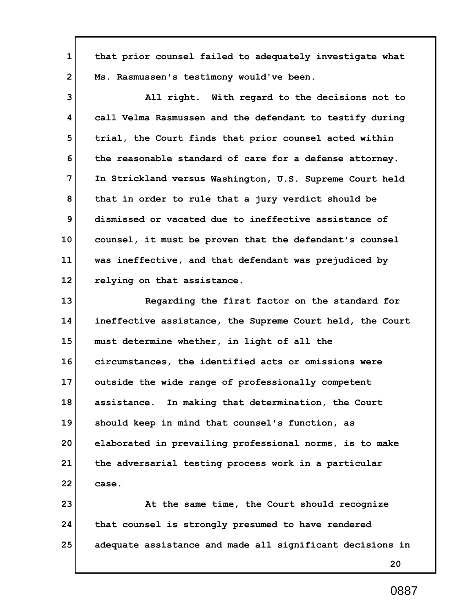**1 2 that prior counsel failed to adequately investigate what Ms. Rasmussen's testimony would've been.**

**3 4 5 6 7 8 9 10 11 12 All right. With regard to the decisions not to call Velma Rasmussen and the defendant to testify during trial, the Court finds that prior counsel acted within the reasonable standard of care for a defense attorney. In Strickland versus Washington, U.S. Supreme Court held that in order to rule that a jury verdict should be dismissed or vacated due to ineffective assistance of counsel, it must be proven that the defendant's counsel was ineffective, and that defendant was prejudiced by relying on that assistance.**

**13 14 15 16 17 18 19 20 21 22 Regarding the first factor on the standard for ineffective assistance, the Supreme Court held, the Court must determine whether, in light of all the circumstances, the identified acts or omissions were outside the wide range of professionally competent assistance. In making that determination, the Court should keep in mind that counsel's function, as elaborated in prevailing professional norms, is to make the adversarial testing process work in a particular case.**

**23 24 25 At the same time, the Court should recognize that counsel is strongly presumed to have rendered adequate assistance and made all significant decisions in**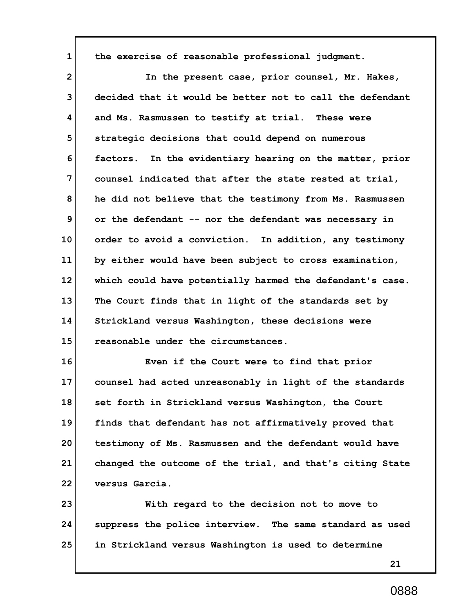**the exercise of reasonable professional judgment.**

**1**

**2 3 4 5 6 7 8 9 10 11 12 13 14 15 In the present case, prior counsel, Mr. Hakes, decided that it would be better not to call the defendant and Ms. Rasmussen to testify at trial. These were strategic decisions that could depend on numerous factors. In the evidentiary hearing on the matter, prior counsel indicated that after the state rested at trial, he did not believe that the testimony from Ms. Rasmussen or the defendant -- nor the defendant was necessary in order to avoid a conviction. In addition, any testimony by either would have been subject to cross examination, which could have potentially harmed the defendant's case. The Court finds that in light of the standards set by Strickland versus Washington, these decisions were reasonable under the circumstances.**

**16 17 18 19 20 21 22 Even if the Court were to find that prior counsel had acted unreasonably in light of the standards set forth in Strickland versus Washington, the Court finds that defendant has not affirmatively proved that testimony of Ms. Rasmussen and the defendant would have changed the outcome of the trial, and that's citing State versus Garcia.**

**23 24 25 With regard to the decision not to move to suppress the police interview. The same standard as used in Strickland versus Washington is used to determine**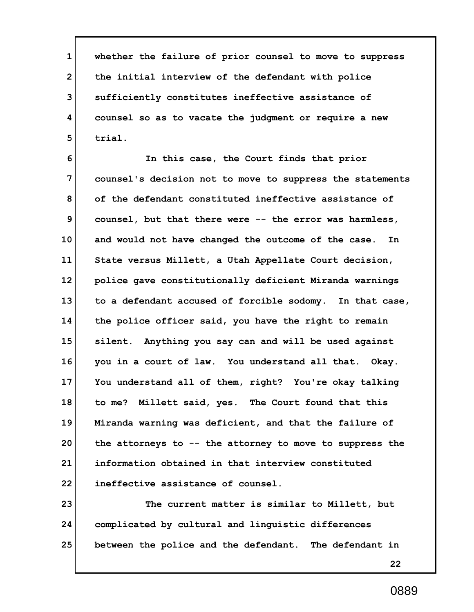**1 2 3 4 5 whether the failure of prior counsel to move to suppress the initial interview of the defendant with police sufficiently constitutes ineffective assistance of counsel so as to vacate the judgment or require a new trial.**

**6 7 8 9 10 11 12 13 14 15 16 17 18 19 20 21 22 In this case, the Court finds that prior counsel's decision not to move to suppress the statements of the defendant constituted ineffective assistance of counsel, but that there were -- the error was harmless, and would not have changed the outcome of the case. In State versus Millett, a Utah Appellate Court decision, police gave constitutionally deficient Miranda warnings to a defendant accused of forcible sodomy. In that case, the police officer said, you have the right to remain silent. Anything you say can and will be used against you in a court of law. You understand all that. Okay. You understand all of them, right? You're okay talking to me? Millett said, yes. The Court found that this Miranda warning was deficient, and that the failure of the attorneys to -- the attorney to move to suppress the information obtained in that interview constituted ineffective assistance of counsel.**

**23 24 25 The current matter is similar to Millett, but complicated by cultural and linguistic differences between the police and the defendant. The defendant in**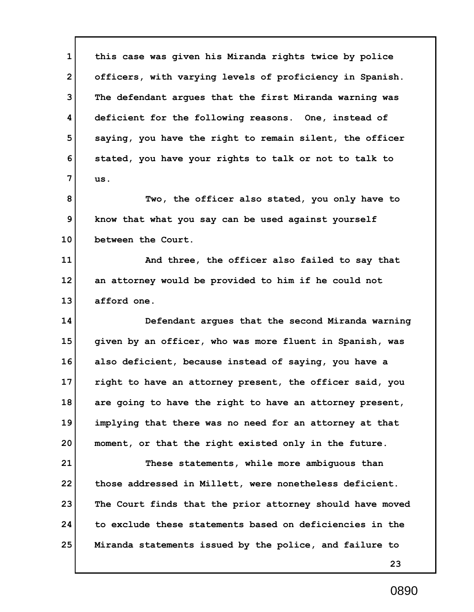**1 2 3 4 5 6 7 8 9 this case was given his Miranda rights twice by police officers, with varying levels of proficiency in Spanish. The defendant argues that the first Miranda warning was deficient for the following reasons. One, instead of saying, you have the right to remain silent, the officer stated, you have your rights to talk or not to talk to us. Two, the officer also stated, you only have to know that what you say can be used against yourself**

**10 between the Court.**

**11 12 13 And three, the officer also failed to say that an attorney would be provided to him if he could not afford one.**

**14 15 16 17 18 19 20 Defendant argues that the second Miranda warning given by an officer, who was more fluent in Spanish, was also deficient, because instead of saying, you have a right to have an attorney present, the officer said, you are going to have the right to have an attorney present, implying that there was no need for an attorney at that moment, or that the right existed only in the future.**

**21 22 23 24 25 These statements, while more ambiguous than those addressed in Millett, were nonetheless deficient. The Court finds that the prior attorney should have moved to exclude these statements based on deficiencies in the Miranda statements issued by the police, and failure to**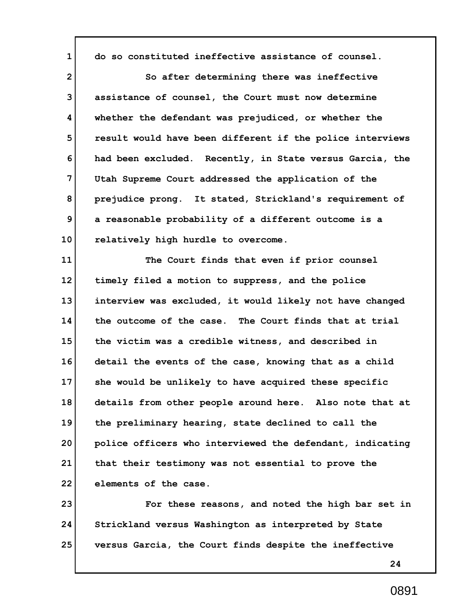**1 2 3 4 5 6 7 8 9 10 11 12 13 14 15 16 17 18 19 20 21 22 do so constituted ineffective assistance of counsel. So after determining there was ineffective assistance of counsel, the Court must now determine whether the defendant was prejudiced, or whether the result would have been different if the police interviews had been excluded. Recently, in State versus Garcia, the Utah Supreme Court addressed the application of the prejudice prong. It stated, Strickland's requirement of a reasonable probability of a different outcome is a relatively high hurdle to overcome. The Court finds that even if prior counsel timely filed a motion to suppress, and the police interview was excluded, it would likely not have changed the outcome of the case. The Court finds that at trial the victim was a credible witness, and described in detail the events of the case, knowing that as a child she would be unlikely to have acquired these specific details from other people around here. Also note that at the preliminary hearing, state declined to call the police officers who interviewed the defendant, indicating that their testimony was not essential to prove the elements of the case.**

**23 24 25 For these reasons, and noted the high bar set in Strickland versus Washington as interpreted by State versus Garcia, the Court finds despite the ineffective**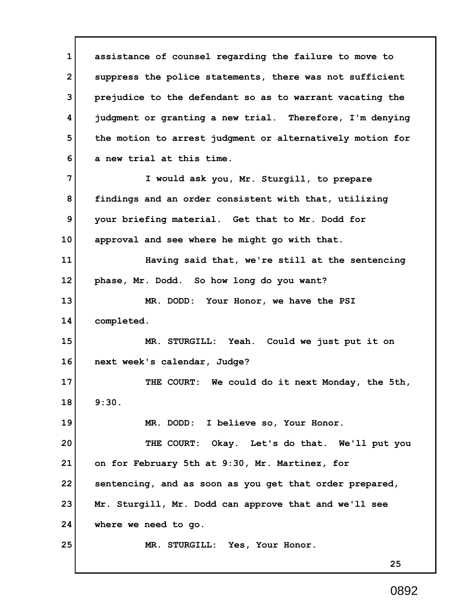**1 2 3 4 5 6 7 8 9 10 11 12 13 14 15 16 17 18 19 20 21 22 23 24 25 assistance of counsel regarding the failure to move to suppress the police statements, there was not sufficient prejudice to the defendant so as to warrant vacating the judgment or granting a new trial. Therefore, I'm denying the motion to arrest judgment or alternatively motion for a new trial at this time. I would ask you, Mr. Sturgill, to prepare findings and an order consistent with that, utilizing your briefing material. Get that to Mr. Dodd for approval and see where he might go with that. Having said that, we're still at the sentencing phase, Mr. Dodd. So how long do you want? MR. DODD: Your Honor, we have the PSI completed. MR. STURGILL: Yeah. Could we just put it on next week's calendar, Judge? THE COURT: We could do it next Monday, the 5th, 9:30. MR. DODD: I believe so, Your Honor. THE COURT: Okay. Let's do that. We'll put you on for February 5th at 9:30, Mr. Martinez, for sentencing, and as soon as you get that order prepared, Mr. Sturgill, Mr. Dodd can approve that and we'll see where we need to go. MR. STURGILL: Yes, Your Honor.**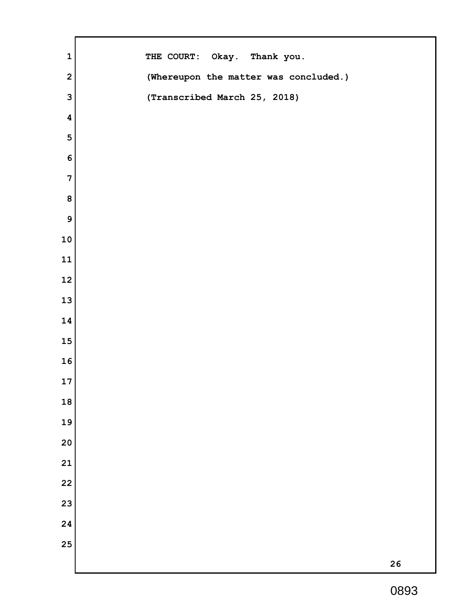| $\mathbf 1$             | THE COURT: Okay. Thank you.           |
|-------------------------|---------------------------------------|
| $\overline{\mathbf{2}}$ | (Whereupon the matter was concluded.) |
| $\mathbf{3}$            | (Transcribed March 25, 2018)          |
| $\pmb{4}$               |                                       |
| 5                       |                                       |
| $\bf 6$                 |                                       |
| $\overline{7}$          |                                       |
| ${\bf 8}$               |                                       |
| $\boldsymbol{9}$        |                                       |
| 10                      |                                       |
| ${\bf 11}$              |                                       |
| 12                      |                                       |
| 13                      |                                       |
| 14                      |                                       |
| 15                      |                                       |
| 16                      |                                       |
| 17                      |                                       |
| 18                      |                                       |
| 19                      |                                       |
| 20                      |                                       |
| 21                      |                                       |
| 22                      |                                       |
| 23                      |                                       |
| 24                      |                                       |
| 25                      |                                       |
|                         | 26                                    |

 $\mathbf{r}$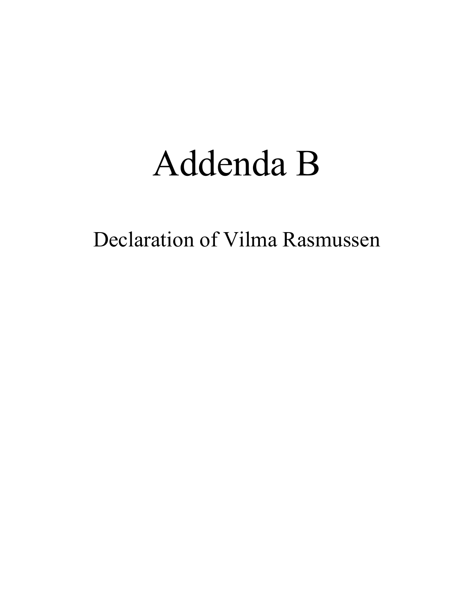# Addenda B

Declaration of Vilma Rasmussen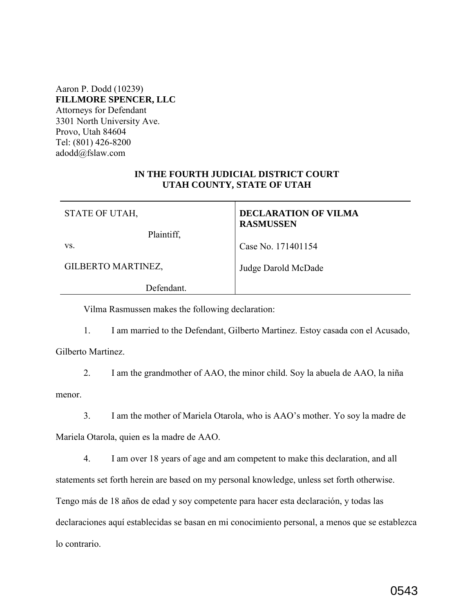Aaron P. Dodd (10239) **FILLMORE SPENCER, LLC** Attorneys for Defendant 3301 North University Ave. Provo, Utah 84604 Tel: (801) 426-8200 adodd@fslaw.com

## **IN THE FOURTH JUDICIAL DISTRICT COURT UTAH COUNTY, STATE OF UTAH**

| STATE OF UTAH,     | <b>DECLARATION OF VILMA</b><br><b>RASMUSSEN</b> |
|--------------------|-------------------------------------------------|
| Plaintiff,         |                                                 |
| VS.                | Case No. 171401154                              |
| GILBERTO MARTINEZ, | Judge Darold McDade                             |

Defendant.

Vilma Rasmussen makes the following declaration:

1. I am married to the Defendant, Gilberto Martinez. Estoy casada con el Acusado,

Gilberto Martinez.

2. I am the grandmother of AAO, the minor child. Soy la abuela de AAO, la niña

menor.

3. I am the mother of Mariela Otarola, who is AAO's mother. Yo soy la madre de Mariela Otarola, quien es la madre de AAO.

4. I am over 18 years of age and am competent to make this declaration, and all statements set forth herein are based on my personal knowledge, unless set forth otherwise. Tengo más de 18 años de edad y soy competente para hacer esta declaración, y todas las declaraciones aquí establecidas se basan en mi conocimiento personal, a menos que se establezca lo contrario.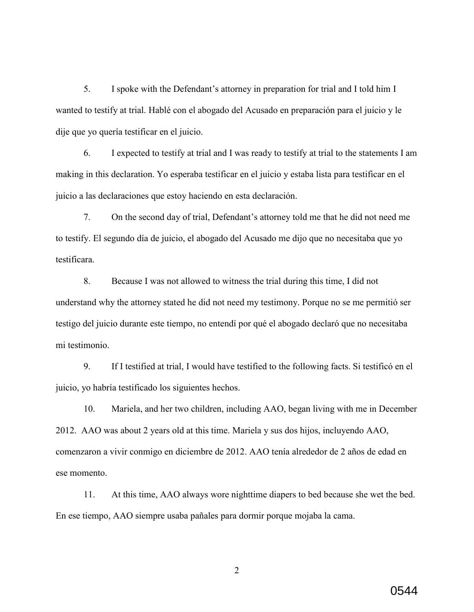5. I spoke with the Defendant's attorney in preparation for trial and I told him I wanted to testify at trial. Hablé con el abogado del Acusado en preparación para el juicio y le dije que yo quería testificar en el juicio.

6. I expected to testify at trial and I was ready to testify at trial to the statements I am making in this declaration. Yo esperaba testificar en el juicio y estaba lista para testificar en el juicio a las declaraciones que estoy haciendo en esta declaración.

7. On the second day of trial, Defendant's attorney told me that he did not need me to testify. El segundo día de juicio, el abogado del Acusado me dijo que no necesitaba que yo testificara.

8. Because I was not allowed to witness the trial during this time, I did not understand why the attorney stated he did not need my testimony. Porque no se me permitió ser testigo del juicio durante este tiempo, no entendí por qué el abogado declaró que no necesitaba mi testimonio.

9. If I testified at trial, I would have testified to the following facts. Si testificó en el juicio, yo habría testificado los siguientes hechos.

10. Mariela, and her two children, including AAO, began living with me in December 2012. AAO was about 2 years old at this time. Mariela y sus dos hijos, incluyendo AAO, comenzaron a vivir conmigo en diciembre de 2012. AAO tenía alrededor de 2 años de edad en ese momento.

11. At this time, AAO always wore nighttime diapers to bed because she wet the bed. En ese tiempo, AAO siempre usaba pañales para dormir porque mojaba la cama.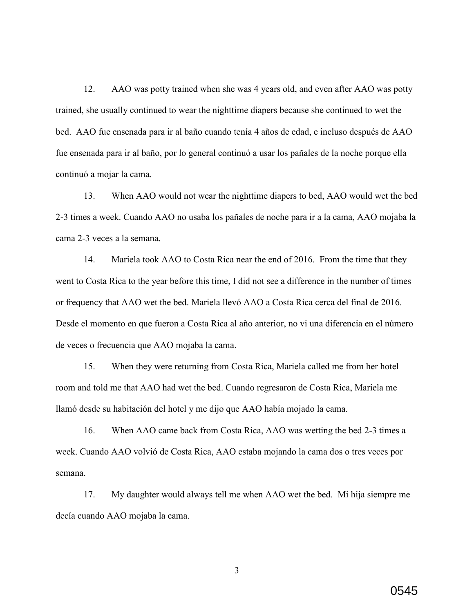12. AAO was potty trained when she was 4 years old, and even after AAO was potty trained, she usually continued to wear the nighttime diapers because she continued to wet the bed. AAO fue ensenada para ir al baño cuando tenía 4 años de edad, e incluso después de AAO fue ensenada para ir al baño, por lo general continuó a usar los pañales de la noche porque ella continuó a mojar la cama.

13. When AAO would not wear the nighttime diapers to bed, AAO would wet the bed 2-3 times a week. Cuando AAO no usaba los pañales de noche para ir a la cama, AAO mojaba la cama 2-3 veces a la semana.

14. Mariela took AAO to Costa Rica near the end of 2016. From the time that they went to Costa Rica to the year before this time, I did not see a difference in the number of times or frequency that AAO wet the bed. Mariela llevó AAO a Costa Rica cerca del final de 2016. Desde el momento en que fueron a Costa Rica al año anterior, no vi una diferencia en el número de veces o frecuencia que AAO mojaba la cama.

15. When they were returning from Costa Rica, Mariela called me from her hotel room and told me that AAO had wet the bed. Cuando regresaron de Costa Rica, Mariela me llamó desde su habitación del hotel y me dijo que AAO había mojado la cama.

16. When AAO came back from Costa Rica, AAO was wetting the bed 2-3 times a week. Cuando AAO volvió de Costa Rica, AAO estaba mojando la cama dos o tres veces por semana.

17. My daughter would always tell me when AAO wet the bed. Mi hija siempre me decía cuando AAO mojaba la cama.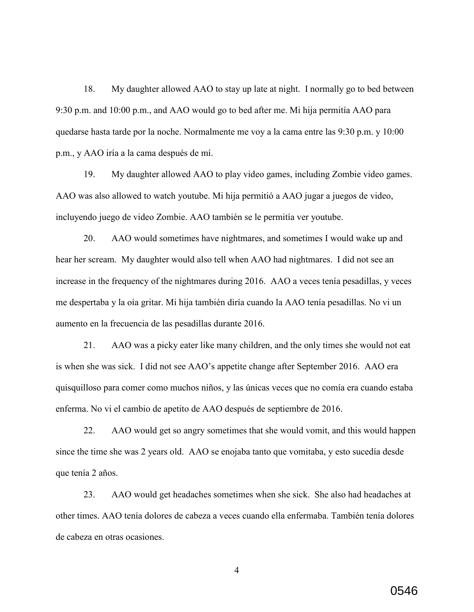18. My daughter allowed AAO to stay up late at night. I normally go to bed between 9:30 p.m. and 10:00 p.m., and AAO would go to bed after me. Mi hija permitía AAO para quedarse hasta tarde por la noche. Normalmente me voy a la cama entre las 9:30 p.m. y 10:00 p.m., y AAO iría a la cama después de mí.

19. My daughter allowed AAO to play video games, including Zombie video games. AAO was also allowed to watch youtube. Mi hija permitió a AAO jugar a juegos de video, incluyendo juego de video Zombie. AAO también se le permitía ver youtube.

20. AAO would sometimes have nightmares, and sometimes I would wake up and hear her scream. My daughter would also tell when AAO had nightmares. I did not see an increase in the frequency of the nightmares during 2016. AAO a veces tenía pesadillas, y veces me despertaba y la oía gritar. Mi hija también diría cuando la AAO tenía pesadillas. No vi un aumento en la frecuencia de las pesadillas durante 2016.

21. AAO was a picky eater like many children, and the only times she would not eat is when she was sick. I did not see AAO's appetite change after September 2016. AAO era quisquilloso para comer como muchos niños, y las únicas veces que no comía era cuando estaba enferma. No vi el cambio de apetito de AAO después de septiembre de 2016.

22. AAO would get so angry sometimes that she would vomit, and this would happen since the time she was 2 years old. AAO se enojaba tanto que vomitaba, y esto sucedía desde que tenía 2 años.

23. AAO would get headaches sometimes when she sick. She also had headaches at other times. AAO tenía dolores de cabeza a veces cuando ella enfermaba. También tenía dolores de cabeza en otras ocasiones.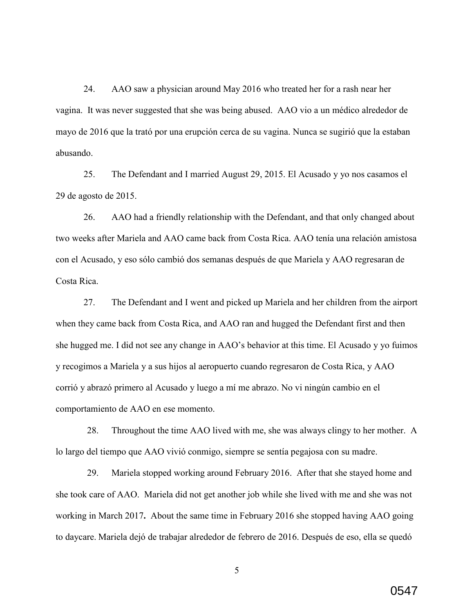24. AAO saw a physician around May 2016 who treated her for a rash near her vagina. It was never suggested that she was being abused. AAO vio a un médico alrededor de mayo de 2016 que la trató por una erupción cerca de su vagina. Nunca se sugirió que la estaban abusando.

25. The Defendant and I married August 29, 2015. El Acusado y yo nos casamos el 29 de agosto de 2015.

26. AAO had a friendly relationship with the Defendant, and that only changed about two weeks after Mariela and AAO came back from Costa Rica. AAO tenía una relación amistosa con el Acusado, y eso sólo cambió dos semanas después de que Mariela y AAO regresaran de Costa Rica.

27. The Defendant and I went and picked up Mariela and her children from the airport when they came back from Costa Rica, and AAO ran and hugged the Defendant first and then she hugged me. I did not see any change in AAO's behavior at this time. El Acusado y yo fuimos y recogimos a Mariela y a sus hijos al aeropuerto cuando regresaron de Costa Rica, y AAO corrió y abrazó primero al Acusado y luego a mí me abrazo. No vi ningún cambio en el comportamiento de AAO en ese momento.

28. Throughout the time AAO lived with me, she was always clingy to her mother. A lo largo del tiempo que AAO vivió conmigo, siempre se sentía pegajosa con su madre.

29. Mariela stopped working around February 2016. After that she stayed home and she took care of AAO. Mariela did not get another job while she lived with me and she was not working in March 2017**.** About the same time in February 2016 she stopped having AAO going to daycare. Mariela dejó de trabajar alrededor de febrero de 2016. Después de eso, ella se quedó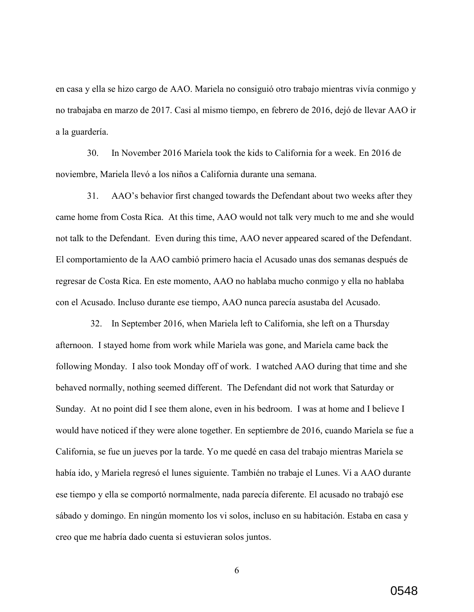en casa y ella se hizo cargo de AAO. Mariela no consiguió otro trabajo mientras vivía conmigo y no trabajaba en marzo de 2017. Casi al mismo tiempo, en febrero de 2016, dejó de llevar AAO ir a la guardería.

30. In November 2016 Mariela took the kids to California for a week. En 2016 de noviembre, Mariela llevó a los niños a California durante una semana.

31. AAO's behavior first changed towards the Defendant about two weeks after they came home from Costa Rica. At this time, AAO would not talk very much to me and she would not talk to the Defendant. Even during this time, AAO never appeared scared of the Defendant. El comportamiento de la AAO cambió primero hacia el Acusado unas dos semanas después de regresar de Costa Rica. En este momento, AAO no hablaba mucho conmigo y ella no hablaba con el Acusado. Incluso durante ese tiempo, AAO nunca parecía asustaba del Acusado.

32. In September 2016, when Mariela left to California, she left on a Thursday afternoon. I stayed home from work while Mariela was gone, and Mariela came back the following Monday. I also took Monday off of work. I watched AAO during that time and she behaved normally, nothing seemed different. The Defendant did not work that Saturday or Sunday. At no point did I see them alone, even in his bedroom. I was at home and I believe I would have noticed if they were alone together. En septiembre de 2016, cuando Mariela se fue a California, se fue un jueves por la tarde. Yo me quedé en casa del trabajo mientras Mariela se había ido, y Mariela regresó el lunes siguiente. También no trabaje el Lunes. Vi a AAO durante ese tiempo y ella se comportó normalmente, nada parecía diferente. El acusado no trabajó ese sábado y domingo. En ningún momento los vi solos, incluso en su habitación. Estaba en casa y creo que me habría dado cuenta si estuvieran solos juntos.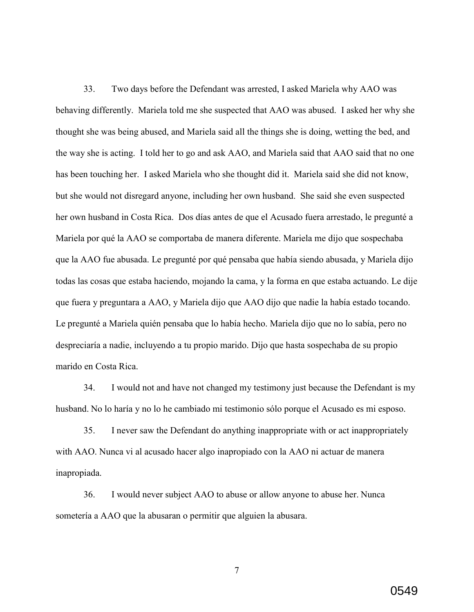33. Two days before the Defendant was arrested, I asked Mariela why AAO was behaving differently. Mariela told me she suspected that AAO was abused. I asked her why she thought she was being abused, and Mariela said all the things she is doing, wetting the bed, and the way she is acting. I told her to go and ask AAO, and Mariela said that AAO said that no one has been touching her. I asked Mariela who she thought did it. Mariela said she did not know, but she would not disregard anyone, including her own husband. She said she even suspected her own husband in Costa Rica. Dos días antes de que el Acusado fuera arrestado, le pregunté a Mariela por qué la AAO se comportaba de manera diferente. Mariela me dijo que sospechaba que la AAO fue abusada. Le pregunté por qué pensaba que había siendo abusada, y Mariela dijo todas las cosas que estaba haciendo, mojando la cama, y la forma en que estaba actuando. Le dije que fuera y preguntara a AAO, y Mariela dijo que AAO dijo que nadie la había estado tocando. Le pregunté a Mariela quién pensaba que lo había hecho. Mariela dijo que no lo sabía, pero no despreciaría a nadie, incluyendo a tu propio marido. Dijo que hasta sospechaba de su propio marido en Costa Rica.

34. I would not and have not changed my testimony just because the Defendant is my husband. No lo haría y no lo he cambiado mi testimonio sólo porque el Acusado es mi esposo.

35. I never saw the Defendant do anything inappropriate with or act inappropriately with AAO. Nunca vi al acusado hacer algo inapropiado con la AAO ni actuar de manera inapropiada.

36. I would never subject AAO to abuse or allow anyone to abuse her. Nunca sometería a AAO que la abusaran o permitir que alguien la abusara.